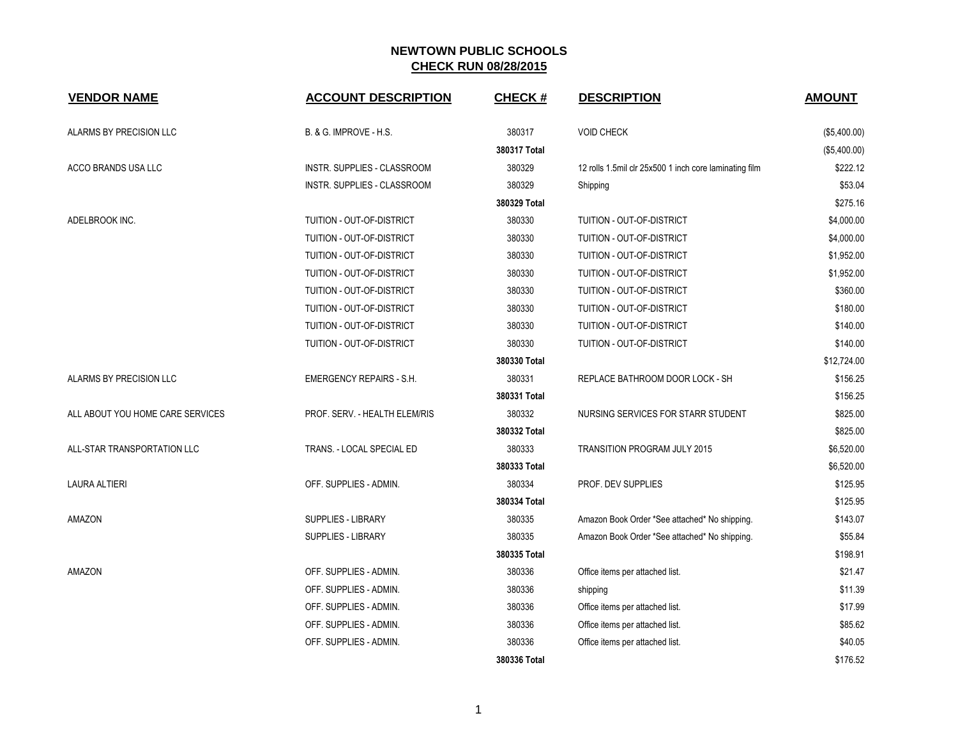| <b>VENDOR NAME</b>               | <b>ACCOUNT DESCRIPTION</b>         | <b>CHECK#</b> | <b>DESCRIPTION</b>                                     | <b>AMOUNT</b> |
|----------------------------------|------------------------------------|---------------|--------------------------------------------------------|---------------|
| ALARMS BY PRECISION LLC          | B. & G. IMPROVE - H.S.             | 380317        | <b>VOID CHECK</b>                                      | (\$5,400.00)  |
|                                  |                                    | 380317 Total  |                                                        | (\$5,400.00)  |
| ACCO BRANDS USA LLC              | INSTR. SUPPLIES - CLASSROOM        | 380329        | 12 rolls 1.5mil clr 25x500 1 inch core laminating film | \$222.12      |
|                                  | <b>INSTR. SUPPLIES - CLASSROOM</b> | 380329        | Shipping                                               | \$53.04       |
|                                  |                                    | 380329 Total  |                                                        | \$275.16      |
| ADELBROOK INC.                   | TUITION - OUT-OF-DISTRICT          | 380330        | TUITION - OUT-OF-DISTRICT                              | \$4,000.00    |
|                                  | TUITION - OUT-OF-DISTRICT          | 380330        | TUITION - OUT-OF-DISTRICT                              | \$4,000.00    |
|                                  | TUITION - OUT-OF-DISTRICT          | 380330        | TUITION - OUT-OF-DISTRICT                              | \$1,952.00    |
|                                  | TUITION - OUT-OF-DISTRICT          | 380330        | TUITION - OUT-OF-DISTRICT                              | \$1,952.00    |
|                                  | TUITION - OUT-OF-DISTRICT          | 380330        | TUITION - OUT-OF-DISTRICT                              | \$360.00      |
|                                  | TUITION - OUT-OF-DISTRICT          | 380330        | TUITION - OUT-OF-DISTRICT                              | \$180.00      |
|                                  | TUITION - OUT-OF-DISTRICT          | 380330        | TUITION - OUT-OF-DISTRICT                              | \$140.00      |
|                                  | TUITION - OUT-OF-DISTRICT          | 380330        | TUITION - OUT-OF-DISTRICT                              | \$140.00      |
|                                  |                                    | 380330 Total  |                                                        | \$12,724.00   |
| ALARMS BY PRECISION LLC          | <b>EMERGENCY REPAIRS - S.H.</b>    | 380331        | REPLACE BATHROOM DOOR LOCK - SH                        | \$156.25      |
|                                  |                                    | 380331 Total  |                                                        | \$156.25      |
| ALL ABOUT YOU HOME CARE SERVICES | PROF. SERV. - HEALTH ELEM/RIS      | 380332        | NURSING SERVICES FOR STARR STUDENT                     | \$825.00      |
|                                  |                                    | 380332 Total  |                                                        | \$825.00      |
| ALL-STAR TRANSPORTATION LLC      | TRANS. - LOCAL SPECIAL ED          | 380333        | TRANSITION PROGRAM JULY 2015                           | \$6,520.00    |
|                                  |                                    | 380333 Total  |                                                        | \$6,520.00    |
| <b>LAURA ALTIERI</b>             | OFF. SUPPLIES - ADMIN.             | 380334        | PROF. DEV SUPPLIES                                     | \$125.95      |
|                                  |                                    | 380334 Total  |                                                        | \$125.95      |
| AMAZON                           | SUPPLIES - LIBRARY                 | 380335        | Amazon Book Order *See attached* No shipping.          | \$143.07      |
|                                  | <b>SUPPLIES - LIBRARY</b>          | 380335        | Amazon Book Order *See attached* No shipping.          | \$55.84       |
|                                  |                                    | 380335 Total  |                                                        | \$198.91      |
| AMAZON                           | OFF. SUPPLIES - ADMIN.             | 380336        | Office items per attached list.                        | \$21.47       |
|                                  | OFF. SUPPLIES - ADMIN.             | 380336        | shipping                                               | \$11.39       |
|                                  | OFF. SUPPLIES - ADMIN.             | 380336        | Office items per attached list.                        | \$17.99       |
|                                  | OFF. SUPPLIES - ADMIN.             | 380336        | Office items per attached list.                        | \$85.62       |
|                                  | OFF. SUPPLIES - ADMIN.             | 380336        | Office items per attached list.                        | \$40.05       |
|                                  |                                    | 380336 Total  |                                                        | \$176.52      |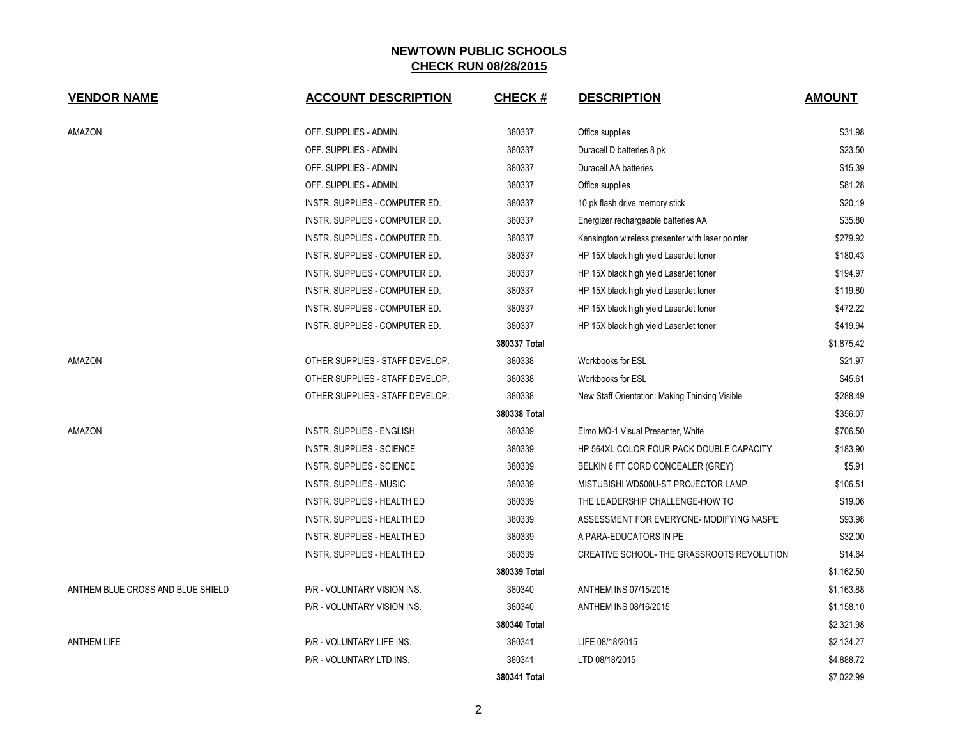| <b>VENDOR NAME</b>                | <b>ACCOUNT DESCRIPTION</b>         | <b>CHECK#</b> | <b>DESCRIPTION</b>                               | <b>AMOUNT</b> |
|-----------------------------------|------------------------------------|---------------|--------------------------------------------------|---------------|
| AMAZON                            | OFF. SUPPLIES - ADMIN.             | 380337        | Office supplies                                  | \$31.98       |
|                                   | OFF. SUPPLIES - ADMIN.             | 380337        | Duracell D batteries 8 pk                        | \$23.50       |
|                                   | OFF. SUPPLIES - ADMIN.             | 380337        | Duracell AA batteries                            | \$15.39       |
|                                   | OFF. SUPPLIES - ADMIN.             | 380337        | Office supplies                                  | \$81.28       |
|                                   | INSTR. SUPPLIES - COMPUTER ED.     | 380337        | 10 pk flash drive memory stick                   | \$20.19       |
|                                   | INSTR. SUPPLIES - COMPUTER ED.     | 380337        | Energizer rechargeable batteries AA              | \$35.80       |
|                                   | INSTR. SUPPLIES - COMPUTER ED.     | 380337        | Kensington wireless presenter with laser pointer | \$279.92      |
|                                   | INSTR. SUPPLIES - COMPUTER ED.     | 380337        | HP 15X black high yield LaserJet toner           | \$180.43      |
|                                   | INSTR. SUPPLIES - COMPUTER ED.     | 380337        | HP 15X black high yield LaserJet toner           | \$194.97      |
|                                   | INSTR. SUPPLIES - COMPUTER ED.     | 380337        | HP 15X black high yield LaserJet toner           | \$119.80      |
|                                   | INSTR. SUPPLIES - COMPUTER ED.     | 380337        | HP 15X black high yield LaserJet toner           | \$472.22      |
|                                   | INSTR. SUPPLIES - COMPUTER ED.     | 380337        | HP 15X black high yield LaserJet toner           | \$419.94      |
|                                   |                                    | 380337 Total  |                                                  | \$1,875.42    |
| AMAZON                            | OTHER SUPPLIES - STAFF DEVELOP.    | 380338        | Workbooks for ESL                                | \$21.97       |
|                                   | OTHER SUPPLIES - STAFF DEVELOP.    | 380338        | Workbooks for ESL                                | \$45.61       |
|                                   | OTHER SUPPLIES - STAFF DEVELOP.    | 380338        | New Staff Orientation: Making Thinking Visible   | \$288.49      |
|                                   |                                    | 380338 Total  |                                                  | \$356.07      |
| AMAZON                            | INSTR. SUPPLIES - ENGLISH          | 380339        | Elmo MO-1 Visual Presenter, White                | \$706.50      |
|                                   | INSTR. SUPPLIES - SCIENCE          | 380339        | HP 564XL COLOR FOUR PACK DOUBLE CAPACITY         | \$183.90      |
|                                   | INSTR. SUPPLIES - SCIENCE          | 380339        | BELKIN 6 FT CORD CONCEALER (GREY)                | \$5.91        |
|                                   | <b>INSTR. SUPPLIES - MUSIC</b>     | 380339        | MISTUBISHI WD500U-ST PROJECTOR LAMP              | \$106.51      |
|                                   | INSTR. SUPPLIES - HEALTH ED        | 380339        | THE LEADERSHIP CHALLENGE-HOW TO                  | \$19.06       |
|                                   | <b>INSTR. SUPPLIES - HEALTH ED</b> | 380339        | ASSESSMENT FOR EVERYONE- MODIFYING NASPE         | \$93.98       |
|                                   | INSTR. SUPPLIES - HEALTH ED        | 380339        | A PARA-EDUCATORS IN PE                           | \$32.00       |
|                                   | INSTR. SUPPLIES - HEALTH ED        | 380339        | CREATIVE SCHOOL- THE GRASSROOTS REVOLUTION       | \$14.64       |
|                                   |                                    | 380339 Total  |                                                  | \$1,162.50    |
| ANTHEM BLUE CROSS AND BLUE SHIELD | P/R - VOLUNTARY VISION INS.        | 380340        | ANTHEM INS 07/15/2015                            | \$1,163.88    |
|                                   | P/R - VOLUNTARY VISION INS.        | 380340        | ANTHEM INS 08/16/2015                            | \$1,158.10    |
|                                   |                                    | 380340 Total  |                                                  | \$2,321.98    |
| <b>ANTHEM LIFE</b>                | P/R - VOLUNTARY LIFE INS.          | 380341        | LIFE 08/18/2015                                  | \$2,134.27    |
|                                   | P/R - VOLUNTARY LTD INS.           | 380341        | LTD 08/18/2015                                   | \$4,888.72    |
|                                   |                                    | 380341 Total  |                                                  | \$7,022.99    |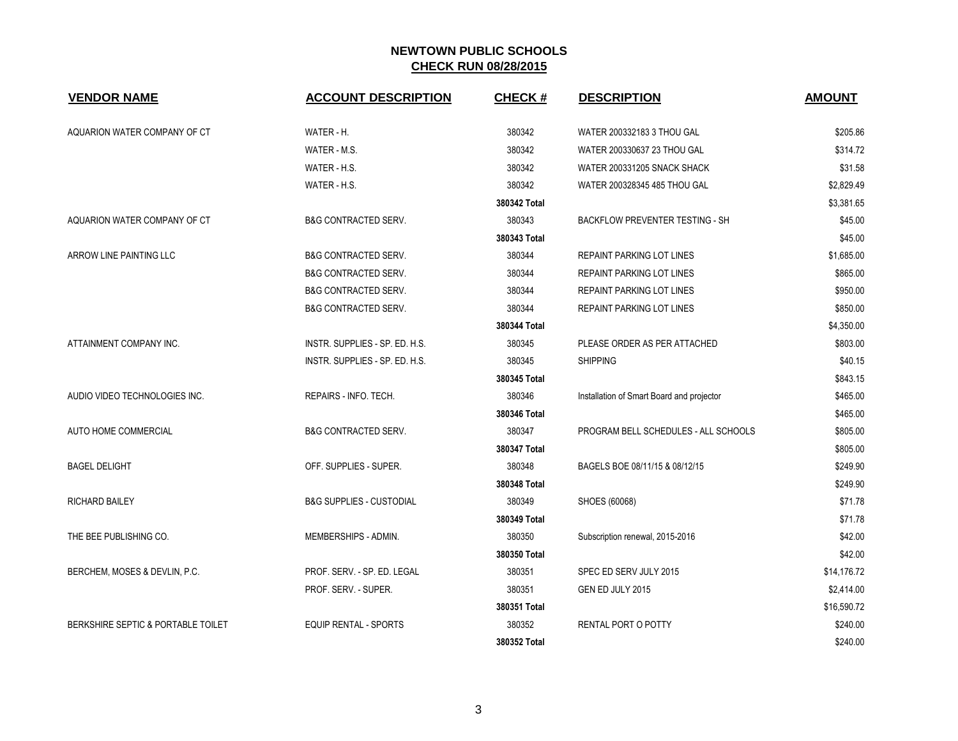| <b>VENDOR NAME</b>                 | <b>ACCOUNT DESCRIPTION</b>          | <b>CHECK#</b> | <b>DESCRIPTION</b>                        | <b>AMOUNT</b> |
|------------------------------------|-------------------------------------|---------------|-------------------------------------------|---------------|
| AQUARION WATER COMPANY OF CT       | WATER - H.                          | 380342        | WATER 200332183 3 THOU GAL                | \$205.86      |
|                                    | WATER - M.S.                        | 380342        | WATER 200330637 23 THOU GAL               | \$314.72      |
|                                    | WATER - H.S.                        | 380342        | WATER 200331205 SNACK SHACK               | \$31.58       |
|                                    | WATER - H.S.                        | 380342        | WATER 200328345 485 THOU GAL              | \$2,829.49    |
|                                    |                                     | 380342 Total  |                                           | \$3,381.65    |
| AQUARION WATER COMPANY OF CT       | <b>B&amp;G CONTRACTED SERV.</b>     | 380343        | BACKFLOW PREVENTER TESTING - SH           | \$45.00       |
|                                    |                                     | 380343 Total  |                                           | \$45.00       |
| ARROW LINE PAINTING LLC            | <b>B&amp;G CONTRACTED SERV.</b>     | 380344        | REPAINT PARKING LOT LINES                 | \$1,685.00    |
|                                    | <b>B&amp;G CONTRACTED SERV.</b>     | 380344        | <b>REPAINT PARKING LOT LINES</b>          | \$865.00      |
|                                    | <b>B&amp;G CONTRACTED SERV.</b>     | 380344        | <b>REPAINT PARKING LOT LINES</b>          | \$950.00      |
|                                    | <b>B&amp;G CONTRACTED SERV.</b>     | 380344        | <b>REPAINT PARKING LOT LINES</b>          | \$850.00      |
|                                    |                                     | 380344 Total  |                                           | \$4,350.00    |
| ATTAINMENT COMPANY INC.            | INSTR. SUPPLIES - SP. ED. H.S.      | 380345        | PLEASE ORDER AS PER ATTACHED              | \$803.00      |
|                                    | INSTR. SUPPLIES - SP. ED. H.S.      | 380345        | <b>SHIPPING</b>                           | \$40.15       |
|                                    |                                     | 380345 Total  |                                           | \$843.15      |
| AUDIO VIDEO TECHNOLOGIES INC.      | REPAIRS - INFO. TECH.               | 380346        | Installation of Smart Board and projector | \$465.00      |
|                                    |                                     | 380346 Total  |                                           | \$465.00      |
| AUTO HOME COMMERCIAL               | <b>B&amp;G CONTRACTED SERV.</b>     | 380347        | PROGRAM BELL SCHEDULES - ALL SCHOOLS      | \$805.00      |
|                                    |                                     | 380347 Total  |                                           | \$805.00      |
| <b>BAGEL DELIGHT</b>               | OFF. SUPPLIES - SUPER.              | 380348        | BAGELS BOE 08/11/15 & 08/12/15            | \$249.90      |
|                                    |                                     | 380348 Total  |                                           | \$249.90      |
| <b>RICHARD BAILEY</b>              | <b>B&amp;G SUPPLIES - CUSTODIAL</b> | 380349        | SHOES (60068)                             | \$71.78       |
|                                    |                                     | 380349 Total  |                                           | \$71.78       |
| THE BEE PUBLISHING CO.             | MEMBERSHIPS - ADMIN.                | 380350        | Subscription renewal, 2015-2016           | \$42.00       |
|                                    |                                     | 380350 Total  |                                           | \$42.00       |
| BERCHEM, MOSES & DEVLIN, P.C.      | PROF. SERV. - SP. ED. LEGAL         | 380351        | SPEC ED SERV JULY 2015                    | \$14,176.72   |
|                                    | PROF. SERV. - SUPER.                | 380351        | GEN ED JULY 2015                          | \$2,414.00    |
|                                    |                                     | 380351 Total  |                                           | \$16,590.72   |
| BERKSHIRE SEPTIC & PORTABLE TOILET | <b>EQUIP RENTAL - SPORTS</b>        | 380352        | <b>RENTAL PORT O POTTY</b>                | \$240.00      |
|                                    |                                     | 380352 Total  |                                           | \$240.00      |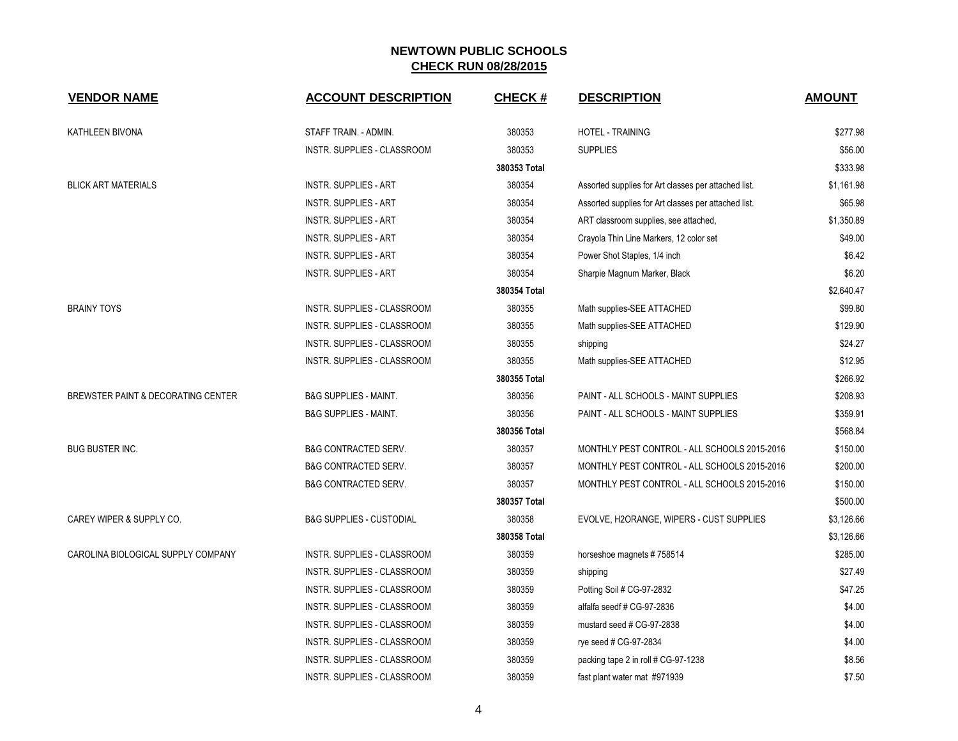| <b>VENDOR NAME</b>                 | <b>ACCOUNT DESCRIPTION</b>          | <b>CHECK#</b> | <b>DESCRIPTION</b>                                   | <b>AMOUNT</b> |
|------------------------------------|-------------------------------------|---------------|------------------------------------------------------|---------------|
| KATHLEEN BIVONA                    | STAFF TRAIN. - ADMIN.               | 380353        | <b>HOTEL - TRAINING</b>                              | \$277.98      |
|                                    | <b>INSTR. SUPPLIES - CLASSROOM</b>  | 380353        | <b>SUPPLIES</b>                                      | \$56.00       |
|                                    |                                     | 380353 Total  |                                                      | \$333.98      |
| <b>BLICK ART MATERIALS</b>         | <b>INSTR. SUPPLIES - ART</b>        | 380354        | Assorted supplies for Art classes per attached list. | \$1,161.98    |
|                                    | <b>INSTR. SUPPLIES - ART</b>        | 380354        | Assorted supplies for Art classes per attached list. | \$65.98       |
|                                    | <b>INSTR. SUPPLIES - ART</b>        | 380354        | ART classroom supplies, see attached,                | \$1,350.89    |
|                                    | <b>INSTR. SUPPLIES - ART</b>        | 380354        | Crayola Thin Line Markers, 12 color set              | \$49.00       |
|                                    | <b>INSTR. SUPPLIES - ART</b>        | 380354        | Power Shot Staples, 1/4 inch                         | \$6.42        |
|                                    | <b>INSTR. SUPPLIES - ART</b>        | 380354        | Sharpie Magnum Marker, Black                         | \$6.20        |
|                                    |                                     | 380354 Total  |                                                      | \$2,640.47    |
| <b>BRAINY TOYS</b>                 | INSTR. SUPPLIES - CLASSROOM         | 380355        | Math supplies-SEE ATTACHED                           | \$99.80       |
|                                    | INSTR. SUPPLIES - CLASSROOM         | 380355        | Math supplies-SEE ATTACHED                           | \$129.90      |
|                                    | INSTR. SUPPLIES - CLASSROOM         | 380355        | shipping                                             | \$24.27       |
|                                    | INSTR. SUPPLIES - CLASSROOM         | 380355        | Math supplies-SEE ATTACHED                           | \$12.95       |
|                                    |                                     | 380355 Total  |                                                      | \$266.92      |
| BREWSTER PAINT & DECORATING CENTER | <b>B&amp;G SUPPLIES - MAINT.</b>    | 380356        | PAINT - ALL SCHOOLS - MAINT SUPPLIES                 | \$208.93      |
|                                    | <b>B&amp;G SUPPLIES - MAINT.</b>    | 380356        | PAINT - ALL SCHOOLS - MAINT SUPPLIES                 | \$359.91      |
|                                    |                                     | 380356 Total  |                                                      | \$568.84      |
| <b>BUG BUSTER INC.</b>             | <b>B&amp;G CONTRACTED SERV.</b>     | 380357        | MONTHLY PEST CONTROL - ALL SCHOOLS 2015-2016         | \$150.00      |
|                                    | <b>B&amp;G CONTRACTED SERV.</b>     | 380357        | MONTHLY PEST CONTROL - ALL SCHOOLS 2015-2016         | \$200.00      |
|                                    | <b>B&amp;G CONTRACTED SERV.</b>     | 380357        | MONTHLY PEST CONTROL - ALL SCHOOLS 2015-2016         | \$150.00      |
|                                    |                                     | 380357 Total  |                                                      | \$500.00      |
| CAREY WIPER & SUPPLY CO.           | <b>B&amp;G SUPPLIES - CUSTODIAL</b> | 380358        | EVOLVE, H2ORANGE, WIPERS - CUST SUPPLIES             | \$3,126.66    |
|                                    |                                     | 380358 Total  |                                                      | \$3,126.66    |
| CAROLINA BIOLOGICAL SUPPLY COMPANY | INSTR. SUPPLIES - CLASSROOM         | 380359        | horseshoe magnets #758514                            | \$285.00      |
|                                    | INSTR. SUPPLIES - CLASSROOM         | 380359        | shipping                                             | \$27.49       |
|                                    | INSTR. SUPPLIES - CLASSROOM         | 380359        | Potting Soil # CG-97-2832                            | \$47.25       |
|                                    | INSTR. SUPPLIES - CLASSROOM         | 380359        | alfalfa seedf # CG-97-2836                           | \$4.00        |
|                                    | INSTR. SUPPLIES - CLASSROOM         | 380359        | mustard seed # CG-97-2838                            | \$4.00        |
|                                    | INSTR. SUPPLIES - CLASSROOM         | 380359        | rye seed # CG-97-2834                                | \$4.00        |
|                                    | <b>INSTR. SUPPLIES - CLASSROOM</b>  | 380359        | packing tape 2 in roll # CG-97-1238                  | \$8.56        |
|                                    | INSTR. SUPPLIES - CLASSROOM         | 380359        | fast plant water mat #971939                         | \$7.50        |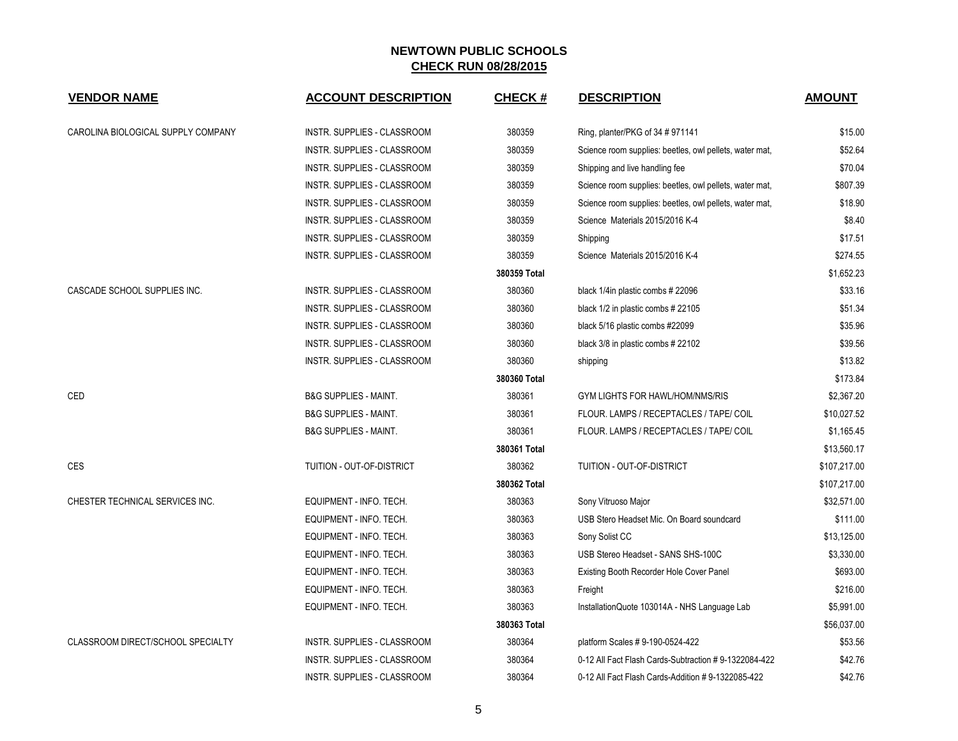| <b>VENDOR NAME</b>                 | <b>ACCOUNT DESCRIPTION</b>         | CHECK #      | <b>DESCRIPTION</b>                                      | <b>AMOUNT</b> |
|------------------------------------|------------------------------------|--------------|---------------------------------------------------------|---------------|
| CAROLINA BIOLOGICAL SUPPLY COMPANY | <b>INSTR. SUPPLIES - CLASSROOM</b> | 380359       | Ring, planter/PKG of 34 # 971141                        | \$15.00       |
|                                    | INSTR. SUPPLIES - CLASSROOM        | 380359       | Science room supplies: beetles, owl pellets, water mat, | \$52.64       |
|                                    | INSTR. SUPPLIES - CLASSROOM        | 380359       | Shipping and live handling fee                          | \$70.04       |
|                                    | INSTR. SUPPLIES - CLASSROOM        | 380359       | Science room supplies: beetles, owl pellets, water mat, | \$807.39      |
|                                    | INSTR. SUPPLIES - CLASSROOM        | 380359       | Science room supplies: beetles, owl pellets, water mat, | \$18.90       |
|                                    | INSTR. SUPPLIES - CLASSROOM        | 380359       | Science Materials 2015/2016 K-4                         | \$8.40        |
|                                    | INSTR. SUPPLIES - CLASSROOM        | 380359       | Shipping                                                | \$17.51       |
|                                    | INSTR. SUPPLIES - CLASSROOM        | 380359       | Science Materials 2015/2016 K-4                         | \$274.55      |
|                                    |                                    | 380359 Total |                                                         | \$1,652.23    |
| CASCADE SCHOOL SUPPLIES INC.       | INSTR. SUPPLIES - CLASSROOM        | 380360       | black 1/4in plastic combs # 22096                       | \$33.16       |
|                                    | <b>INSTR. SUPPLIES - CLASSROOM</b> | 380360       | black 1/2 in plastic combs # 22105                      | \$51.34       |
|                                    | INSTR. SUPPLIES - CLASSROOM        | 380360       | black 5/16 plastic combs #22099                         | \$35.96       |
|                                    | INSTR. SUPPLIES - CLASSROOM        | 380360       | black 3/8 in plastic combs # 22102                      | \$39.56       |
|                                    | INSTR. SUPPLIES - CLASSROOM        | 380360       | shipping                                                | \$13.82       |
|                                    |                                    | 380360 Total |                                                         | \$173.84      |
| CED                                | <b>B&amp;G SUPPLIES - MAINT.</b>   | 380361       | <b>GYM LIGHTS FOR HAWL/HOM/NMS/RIS</b>                  | \$2,367.20    |
|                                    | <b>B&amp;G SUPPLIES - MAINT.</b>   | 380361       | FLOUR. LAMPS / RECEPTACLES / TAPE/ COIL                 | \$10,027.52   |
|                                    | <b>B&amp;G SUPPLIES - MAINT.</b>   | 380361       | FLOUR. LAMPS / RECEPTACLES / TAPE/ COIL                 | \$1,165.45    |
|                                    |                                    | 380361 Total |                                                         | \$13,560.17   |
| <b>CES</b>                         | TUITION - OUT-OF-DISTRICT          | 380362       | TUITION - OUT-OF-DISTRICT                               | \$107,217.00  |
|                                    |                                    | 380362 Total |                                                         | \$107,217.00  |
| CHESTER TECHNICAL SERVICES INC.    | EQUIPMENT - INFO. TECH.            | 380363       | Sony Vitruoso Major                                     | \$32,571.00   |
|                                    | EQUIPMENT - INFO. TECH.            | 380363       | USB Stero Headset Mic. On Board soundcard               | \$111.00      |
|                                    | EQUIPMENT - INFO. TECH.            | 380363       | Sony Solist CC                                          | \$13,125.00   |
|                                    | EQUIPMENT - INFO. TECH.            | 380363       | USB Stereo Headset - SANS SHS-100C                      | \$3,330.00    |
|                                    | EQUIPMENT - INFO. TECH.            | 380363       | Existing Booth Recorder Hole Cover Panel                | \$693.00      |
|                                    | EQUIPMENT - INFO. TECH.            | 380363       | Freight                                                 | \$216.00      |
|                                    | EQUIPMENT - INFO. TECH.            | 380363       | InstallationQuote 103014A - NHS Language Lab            | \$5,991.00    |
|                                    |                                    | 380363 Total |                                                         | \$56,037.00   |
| CLASSROOM DIRECT/SCHOOL SPECIALTY  | INSTR. SUPPLIES - CLASSROOM        | 380364       | platform Scales # 9-190-0524-422                        | \$53.56       |
|                                    | INSTR. SUPPLIES - CLASSROOM        | 380364       | 0-12 All Fact Flash Cards-Subtraction #9-1322084-422    | \$42.76       |
|                                    | INSTR. SUPPLIES - CLASSROOM        | 380364       | 0-12 All Fact Flash Cards-Addition # 9-1322085-422      | \$42.76       |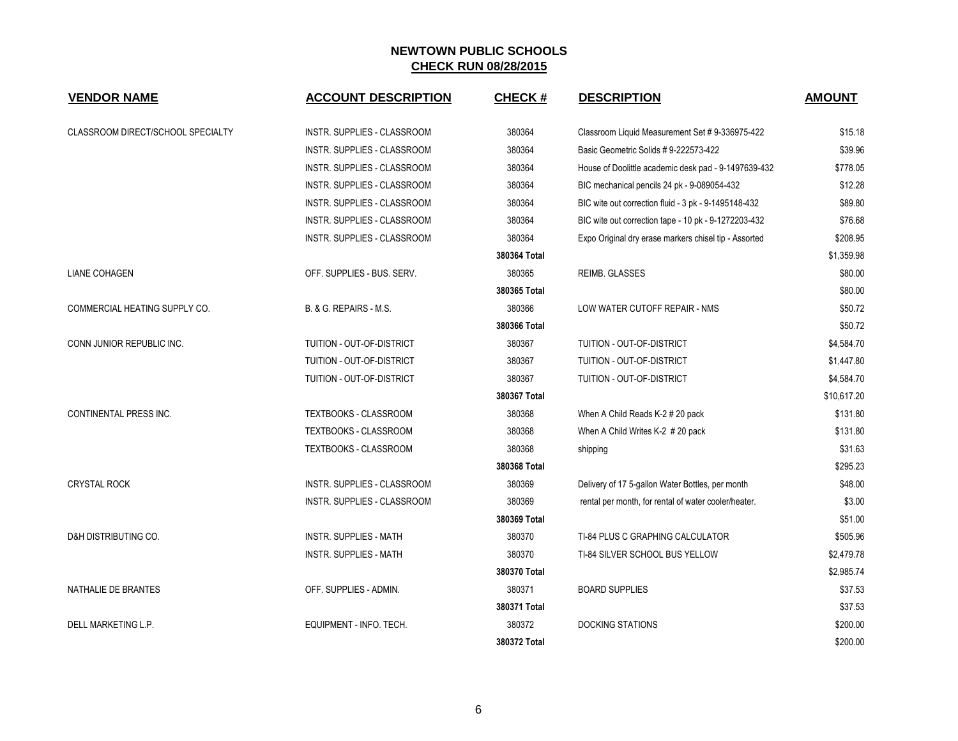| <b>VENDOR NAME</b>                | <b>ACCOUNT DESCRIPTION</b>         | <b>CHECK#</b> | <b>DESCRIPTION</b>                                    | <b>AMOUNT</b> |
|-----------------------------------|------------------------------------|---------------|-------------------------------------------------------|---------------|
| CLASSROOM DIRECT/SCHOOL SPECIALTY | INSTR. SUPPLIES - CLASSROOM        | 380364        | Classroom Liquid Measurement Set # 9-336975-422       | \$15.18       |
|                                   | INSTR. SUPPLIES - CLASSROOM        | 380364        | Basic Geometric Solids #9-222573-422                  | \$39.96       |
|                                   | INSTR. SUPPLIES - CLASSROOM        | 380364        | House of Doolittle academic desk pad - 9-1497639-432  | \$778.05      |
|                                   | INSTR. SUPPLIES - CLASSROOM        | 380364        | BIC mechanical pencils 24 pk - 9-089054-432           | \$12.28       |
|                                   | INSTR. SUPPLIES - CLASSROOM        | 380364        | BIC wite out correction fluid - 3 pk - 9-1495148-432  | \$89.80       |
|                                   | INSTR. SUPPLIES - CLASSROOM        | 380364        | BIC wite out correction tape - 10 pk - 9-1272203-432  | \$76.68       |
|                                   | <b>INSTR. SUPPLIES - CLASSROOM</b> | 380364        | Expo Original dry erase markers chisel tip - Assorted | \$208.95      |
|                                   |                                    | 380364 Total  |                                                       | \$1,359.98    |
| <b>LIANE COHAGEN</b>              | OFF. SUPPLIES - BUS. SERV.         | 380365        | <b>REIMB. GLASSES</b>                                 | \$80.00       |
|                                   |                                    | 380365 Total  |                                                       | \$80.00       |
| COMMERCIAL HEATING SUPPLY CO.     | B. & G. REPAIRS - M.S.             | 380366        | LOW WATER CUTOFF REPAIR - NMS                         | \$50.72       |
|                                   |                                    | 380366 Total  |                                                       | \$50.72       |
| CONN JUNIOR REPUBLIC INC.         | TUITION - OUT-OF-DISTRICT          | 380367        | TUITION - OUT-OF-DISTRICT                             | \$4,584.70    |
|                                   | TUITION - OUT-OF-DISTRICT          | 380367        | TUITION - OUT-OF-DISTRICT                             | \$1,447.80    |
|                                   | TUITION - OUT-OF-DISTRICT          | 380367        | TUITION - OUT-OF-DISTRICT                             | \$4,584.70    |
|                                   |                                    | 380367 Total  |                                                       | \$10,617.20   |
| <b>CONTINENTAL PRESS INC.</b>     | TEXTBOOKS - CLASSROOM              | 380368        | When A Child Reads K-2 # 20 pack                      | \$131.80      |
|                                   | TEXTBOOKS - CLASSROOM              | 380368        | When A Child Writes K-2 # 20 pack                     | \$131.80      |
|                                   | TEXTBOOKS - CLASSROOM              | 380368        | shipping                                              | \$31.63       |
|                                   |                                    | 380368 Total  |                                                       | \$295.23      |
| <b>CRYSTAL ROCK</b>               | INSTR. SUPPLIES - CLASSROOM        | 380369        | Delivery of 17 5-gallon Water Bottles, per month      | \$48.00       |
|                                   | <b>INSTR. SUPPLIES - CLASSROOM</b> | 380369        | rental per month, for rental of water cooler/heater.  | \$3.00        |
|                                   |                                    | 380369 Total  |                                                       | \$51.00       |
| D&H DISTRIBUTING CO.              | <b>INSTR. SUPPLIES - MATH</b>      | 380370        | TI-84 PLUS C GRAPHING CALCULATOR                      | \$505.96      |
|                                   | <b>INSTR. SUPPLIES - MATH</b>      | 380370        | TI-84 SILVER SCHOOL BUS YELLOW                        | \$2,479.78    |
|                                   |                                    | 380370 Total  |                                                       | \$2,985.74    |
| NATHALIE DE BRANTES               | OFF. SUPPLIES - ADMIN.             | 380371        | <b>BOARD SUPPLIES</b>                                 | \$37.53       |
|                                   |                                    | 380371 Total  |                                                       | \$37.53       |
| DELL MARKETING L.P.               | EQUIPMENT - INFO. TECH.            | 380372        | <b>DOCKING STATIONS</b>                               | \$200.00      |
|                                   |                                    | 380372 Total  |                                                       | \$200.00      |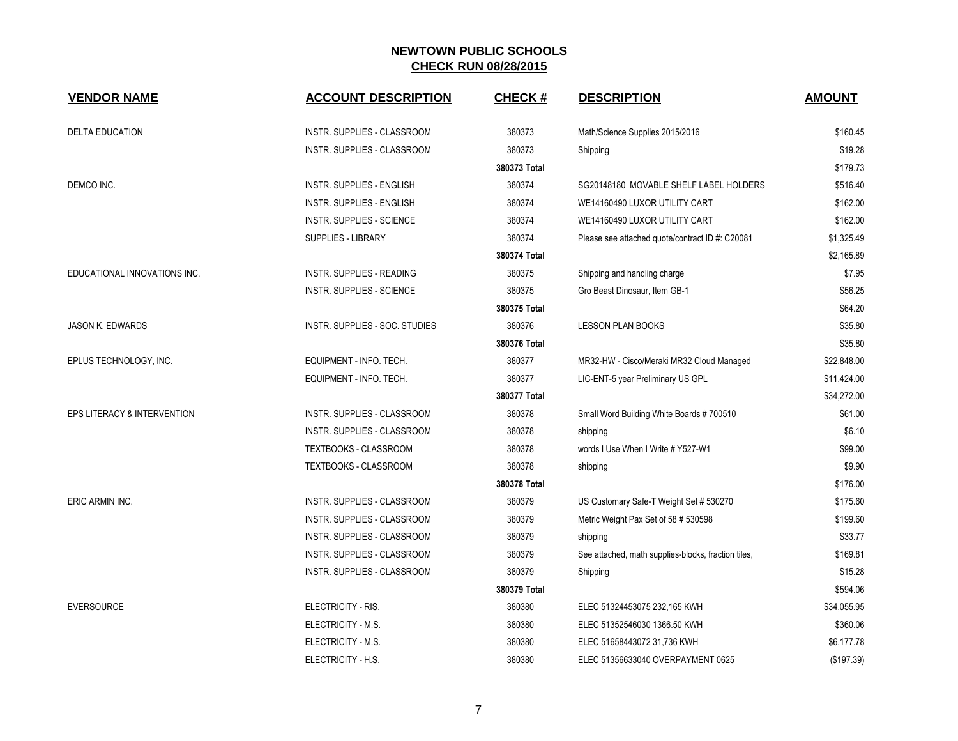| <b>VENDOR NAME</b>                     | <b>ACCOUNT DESCRIPTION</b>         | CHECK #      | <b>DESCRIPTION</b>                                  | <b>AMOUNT</b> |
|----------------------------------------|------------------------------------|--------------|-----------------------------------------------------|---------------|
| <b>DELTA EDUCATION</b>                 | <b>INSTR. SUPPLIES - CLASSROOM</b> | 380373       | Math/Science Supplies 2015/2016                     | \$160.45      |
|                                        | INSTR. SUPPLIES - CLASSROOM        | 380373       | Shipping                                            | \$19.28       |
|                                        |                                    | 380373 Total |                                                     | \$179.73      |
| DEMCO INC.                             | <b>INSTR. SUPPLIES - ENGLISH</b>   | 380374       | SG20148180 MOVABLE SHELF LABEL HOLDERS              | \$516.40      |
|                                        | <b>INSTR. SUPPLIES - ENGLISH</b>   | 380374       | WE14160490 LUXOR UTILITY CART                       | \$162.00      |
|                                        | <b>INSTR. SUPPLIES - SCIENCE</b>   | 380374       | WE14160490 LUXOR UTILITY CART                       | \$162.00      |
|                                        | SUPPLIES - LIBRARY                 | 380374       | Please see attached quote/contract ID #: C20081     | \$1,325.49    |
|                                        |                                    | 380374 Total |                                                     | \$2,165.89    |
| EDUCATIONAL INNOVATIONS INC.           | <b>INSTR. SUPPLIES - READING</b>   | 380375       | Shipping and handling charge                        | \$7.95        |
|                                        | <b>INSTR. SUPPLIES - SCIENCE</b>   | 380375       | Gro Beast Dinosaur, Item GB-1                       | \$56.25       |
|                                        |                                    | 380375 Total |                                                     | \$64.20       |
| JASON K. EDWARDS                       | INSTR. SUPPLIES - SOC. STUDIES     | 380376       | <b>LESSON PLAN BOOKS</b>                            | \$35.80       |
|                                        |                                    | 380376 Total |                                                     | \$35.80       |
| EPLUS TECHNOLOGY, INC.                 | EQUIPMENT - INFO. TECH.            | 380377       | MR32-HW - Cisco/Meraki MR32 Cloud Managed           | \$22,848.00   |
|                                        | EQUIPMENT - INFO. TECH.            | 380377       | LIC-ENT-5 year Preliminary US GPL                   | \$11,424.00   |
|                                        |                                    | 380377 Total |                                                     | \$34,272.00   |
| <b>EPS LITERACY &amp; INTERVENTION</b> | <b>INSTR. SUPPLIES - CLASSROOM</b> | 380378       | Small Word Building White Boards # 700510           | \$61.00       |
|                                        | INSTR. SUPPLIES - CLASSROOM        | 380378       | shipping                                            | \$6.10        |
|                                        | TEXTBOOKS - CLASSROOM              | 380378       | words I Use When I Write # Y527-W1                  | \$99.00       |
|                                        | TEXTBOOKS - CLASSROOM              | 380378       | shipping                                            | \$9.90        |
|                                        |                                    | 380378 Total |                                                     | \$176.00      |
| ERIC ARMIN INC.                        | <b>INSTR. SUPPLIES - CLASSROOM</b> | 380379       | US Customary Safe-T Weight Set # 530270             | \$175.60      |
|                                        | INSTR. SUPPLIES - CLASSROOM        | 380379       | Metric Weight Pax Set of 58 # 530598                | \$199.60      |
|                                        | INSTR. SUPPLIES - CLASSROOM        | 380379       | shipping                                            | \$33.77       |
|                                        | INSTR. SUPPLIES - CLASSROOM        | 380379       | See attached, math supplies-blocks, fraction tiles, | \$169.81      |
|                                        | INSTR. SUPPLIES - CLASSROOM        | 380379       | Shipping                                            | \$15.28       |
|                                        |                                    | 380379 Total |                                                     | \$594.06      |
| <b>EVERSOURCE</b>                      | ELECTRICITY - RIS.                 | 380380       | ELEC 51324453075 232,165 KWH                        | \$34,055.95   |
|                                        | ELECTRICITY - M.S.                 | 380380       | ELEC 51352546030 1366.50 KWH                        | \$360.06      |
|                                        | ELECTRICITY - M.S.                 | 380380       | ELEC 51658443072 31,736 KWH                         | \$6,177.78    |
|                                        | ELECTRICITY - H.S.                 | 380380       | ELEC 51356633040 OVERPAYMENT 0625                   | (\$197.39)    |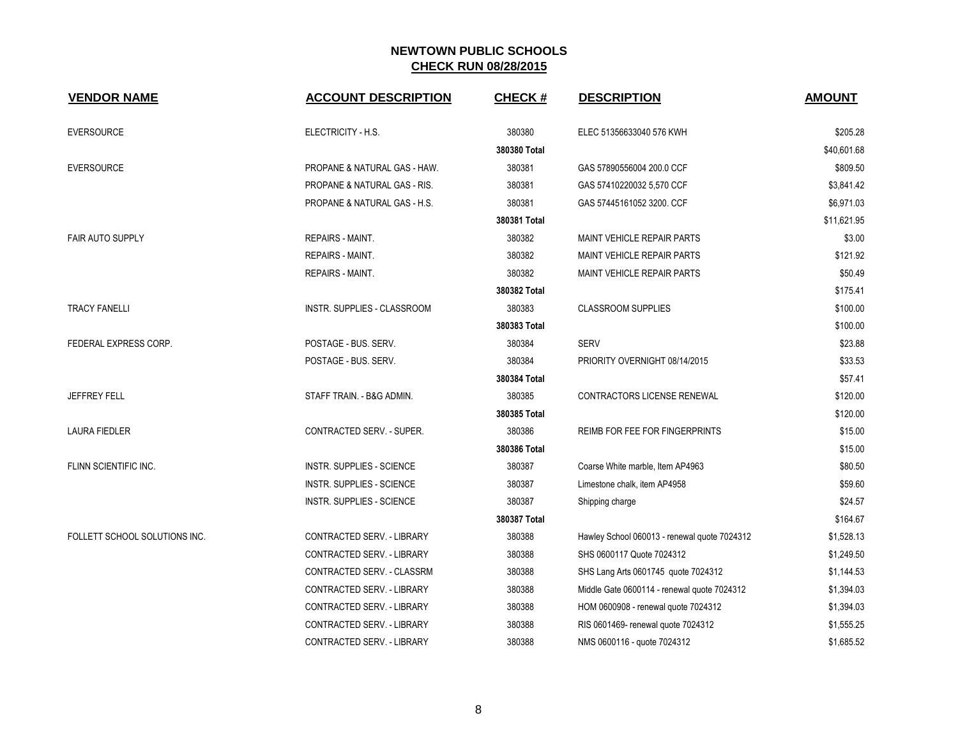| <b>VENDOR NAME</b>            | <b>ACCOUNT DESCRIPTION</b>              | <b>CHECK#</b> | <b>DESCRIPTION</b>                           | <b>AMOUNT</b> |
|-------------------------------|-----------------------------------------|---------------|----------------------------------------------|---------------|
| <b>EVERSOURCE</b>             | ELECTRICITY - H.S.                      | 380380        | ELEC 51356633040 576 KWH                     | \$205.28      |
|                               |                                         | 380380 Total  |                                              | \$40,601.68   |
| <b>EVERSOURCE</b>             | PROPANE & NATURAL GAS - HAW.            | 380381        | GAS 57890556004 200.0 CCF                    | \$809.50      |
|                               | PROPANE & NATURAL GAS - RIS.            | 380381        | GAS 57410220032 5,570 CCF                    | \$3,841.42    |
|                               | <b>PROPANE &amp; NATURAL GAS - H.S.</b> | 380381        | GAS 57445161052 3200, CCF                    | \$6,971.03    |
|                               |                                         | 380381 Total  |                                              | \$11,621.95   |
| <b>FAIR AUTO SUPPLY</b>       | REPAIRS - MAINT.                        | 380382        | MAINT VEHICLE REPAIR PARTS                   | \$3.00        |
|                               | <b>REPAIRS - MAINT.</b>                 | 380382        | <b>MAINT VEHICLE REPAIR PARTS</b>            | \$121.92      |
|                               | REPAIRS - MAINT.                        | 380382        | MAINT VEHICLE REPAIR PARTS                   | \$50.49       |
|                               |                                         | 380382 Total  |                                              | \$175.41      |
| <b>TRACY FANELLI</b>          | INSTR. SUPPLIES - CLASSROOM             | 380383        | <b>CLASSROOM SUPPLIES</b>                    | \$100.00      |
|                               |                                         | 380383 Total  |                                              | \$100.00      |
| FEDERAL EXPRESS CORP.         | POSTAGE - BUS. SERV.                    | 380384        | <b>SERV</b>                                  | \$23.88       |
|                               | POSTAGE - BUS. SERV.                    | 380384        | PRIORITY OVERNIGHT 08/14/2015                | \$33.53       |
|                               |                                         | 380384 Total  |                                              | \$57.41       |
| <b>JEFFREY FELL</b>           | STAFF TRAIN. - B&G ADMIN.               | 380385        | CONTRACTORS LICENSE RENEWAL                  | \$120.00      |
|                               |                                         | 380385 Total  |                                              | \$120.00      |
| <b>LAURA FIEDLER</b>          | <b>CONTRACTED SERV. - SUPER.</b>        | 380386        | REIMB FOR FEE FOR FINGERPRINTS               | \$15.00       |
|                               |                                         | 380386 Total  |                                              | \$15.00       |
| FLINN SCIENTIFIC INC.         | <b>INSTR. SUPPLIES - SCIENCE</b>        | 380387        | Coarse White marble, Item AP4963             | \$80.50       |
|                               | <b>INSTR. SUPPLIES - SCIENCE</b>        | 380387        | Limestone chalk, item AP4958                 | \$59.60       |
|                               | <b>INSTR. SUPPLIES - SCIENCE</b>        | 380387        | Shipping charge                              | \$24.57       |
|                               |                                         | 380387 Total  |                                              | \$164.67      |
| FOLLETT SCHOOL SOLUTIONS INC. | CONTRACTED SERV. - LIBRARY              | 380388        | Hawley School 060013 - renewal quote 7024312 | \$1,528.13    |
|                               | CONTRACTED SERV. - LIBRARY              | 380388        | SHS 0600117 Quote 7024312                    | \$1,249.50    |
|                               | CONTRACTED SERV. - CLASSRM              | 380388        | SHS Lang Arts 0601745 quote 7024312          | \$1,144.53    |
|                               | CONTRACTED SERV. - LIBRARY              | 380388        | Middle Gate 0600114 - renewal quote 7024312  | \$1,394.03    |
|                               | CONTRACTED SERV. - LIBRARY              | 380388        | HOM 0600908 - renewal quote 7024312          | \$1,394.03    |
|                               | CONTRACTED SERV. - LIBRARY              | 380388        | RIS 0601469- renewal quote 7024312           | \$1,555.25    |
|                               | CONTRACTED SERV. - LIBRARY              | 380388        | NMS 0600116 - quote 7024312                  | \$1,685.52    |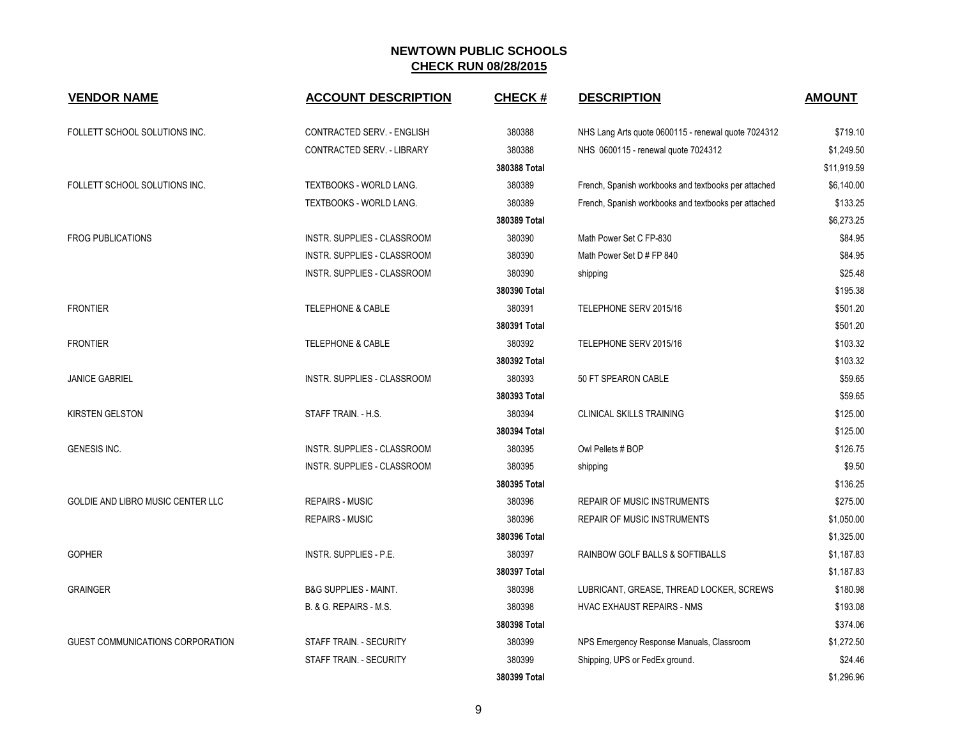| <b>VENDOR NAME</b>                | <b>ACCOUNT DESCRIPTION</b>       | <b>CHECK#</b> | <b>DESCRIPTION</b>                                   | <b>AMOUNT</b> |
|-----------------------------------|----------------------------------|---------------|------------------------------------------------------|---------------|
| FOLLETT SCHOOL SOLUTIONS INC.     | CONTRACTED SERV. - ENGLISH       | 380388        | NHS Lang Arts quote 0600115 - renewal quote 7024312  | \$719.10      |
|                                   | CONTRACTED SERV. - LIBRARY       | 380388        | NHS 0600115 - renewal quote 7024312                  | \$1.249.50    |
|                                   |                                  | 380388 Total  |                                                      | \$11,919.59   |
| FOLLETT SCHOOL SOLUTIONS INC.     | TEXTBOOKS - WORLD LANG.          | 380389        | French, Spanish workbooks and textbooks per attached | \$6,140.00    |
|                                   | <b>TEXTBOOKS - WORLD LANG.</b>   | 380389        | French, Spanish workbooks and textbooks per attached | \$133.25      |
|                                   |                                  | 380389 Total  |                                                      | \$6,273.25    |
| <b>FROG PUBLICATIONS</b>          | INSTR. SUPPLIES - CLASSROOM      | 380390        | Math Power Set C FP-830                              | \$84.95       |
|                                   | INSTR. SUPPLIES - CLASSROOM      | 380390        | Math Power Set D # FP 840                            | \$84.95       |
|                                   | INSTR. SUPPLIES - CLASSROOM      | 380390        | shipping                                             | \$25.48       |
|                                   |                                  | 380390 Total  |                                                      | \$195.38      |
| <b>FRONTIER</b>                   | <b>TELEPHONE &amp; CABLE</b>     | 380391        | TELEPHONE SERV 2015/16                               | \$501.20      |
|                                   |                                  | 380391 Total  |                                                      | \$501.20      |
| <b>FRONTIER</b>                   | <b>TELEPHONE &amp; CABLE</b>     | 380392        | TELEPHONE SERV 2015/16                               | \$103.32      |
|                                   |                                  | 380392 Total  |                                                      | \$103.32      |
| <b>JANICE GABRIEL</b>             | INSTR. SUPPLIES - CLASSROOM      | 380393        | 50 FT SPEARON CABLE                                  | \$59.65       |
|                                   |                                  | 380393 Total  |                                                      | \$59.65       |
| <b>KIRSTEN GELSTON</b>            | STAFF TRAIN. - H.S.              | 380394        | <b>CLINICAL SKILLS TRAINING</b>                      | \$125.00      |
|                                   |                                  | 380394 Total  |                                                      | \$125.00      |
| GENESIS INC.                      | INSTR. SUPPLIES - CLASSROOM      | 380395        | Owl Pellets # BOP                                    | \$126.75      |
|                                   | INSTR. SUPPLIES - CLASSROOM      | 380395        | shipping                                             | \$9.50        |
|                                   |                                  | 380395 Total  |                                                      | \$136.25      |
| GOLDIE AND LIBRO MUSIC CENTER LLC | <b>REPAIRS - MUSIC</b>           | 380396        | <b>REPAIR OF MUSIC INSTRUMENTS</b>                   | \$275.00      |
|                                   | <b>REPAIRS - MUSIC</b>           | 380396        | <b>REPAIR OF MUSIC INSTRUMENTS</b>                   | \$1,050.00    |
|                                   |                                  | 380396 Total  |                                                      | \$1,325.00    |
| <b>GOPHER</b>                     | INSTR. SUPPLIES - P.E.           | 380397        | RAINBOW GOLF BALLS & SOFTIBALLS                      | \$1,187.83    |
|                                   |                                  | 380397 Total  |                                                      | \$1,187.83    |
| <b>GRAINGER</b>                   | <b>B&amp;G SUPPLIES - MAINT.</b> | 380398        | LUBRICANT, GREASE, THREAD LOCKER, SCREWS             | \$180.98      |
|                                   | B. & G. REPAIRS - M.S.           | 380398        | HVAC EXHAUST REPAIRS - NMS                           | \$193.08      |
|                                   |                                  | 380398 Total  |                                                      | \$374.06      |
| GUEST COMMUNICATIONS CORPORATION  | STAFF TRAIN. - SECURITY          | 380399        | NPS Emergency Response Manuals, Classroom            | \$1,272.50    |
|                                   | STAFF TRAIN. - SECURITY          | 380399        | Shipping, UPS or FedEx ground.                       | \$24.46       |
|                                   |                                  | 380399 Total  |                                                      | \$1,296.96    |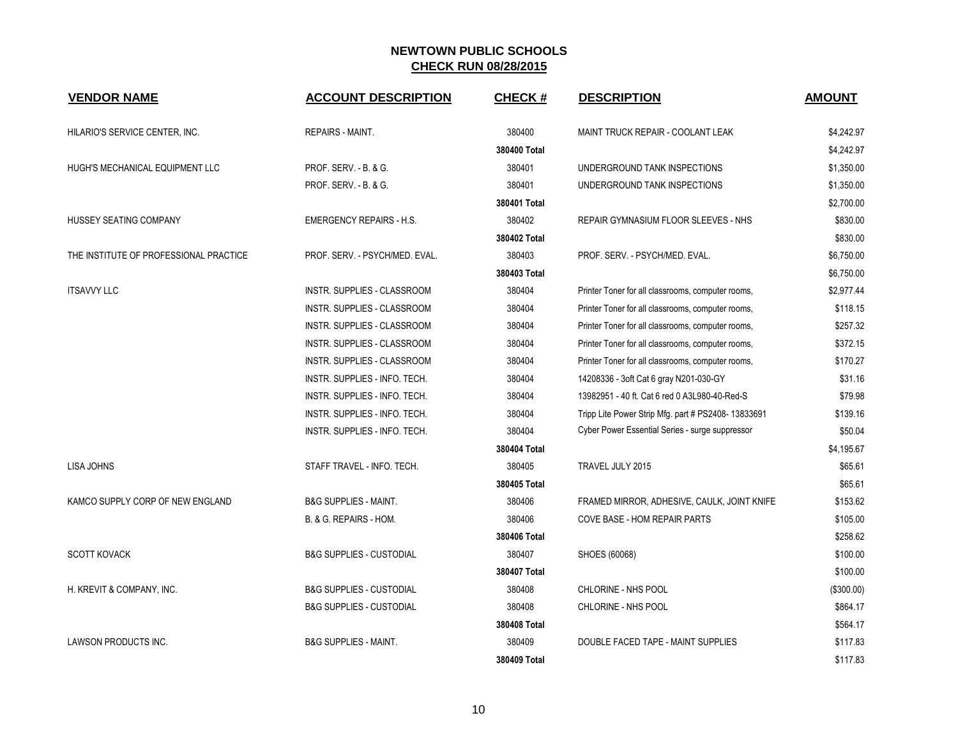| <b>VENDOR NAME</b>                     | <b>ACCOUNT DESCRIPTION</b>          | <b>CHECK#</b> | <b>DESCRIPTION</b>                                 | <b>AMOUNT</b> |
|----------------------------------------|-------------------------------------|---------------|----------------------------------------------------|---------------|
| HILARIO'S SERVICE CENTER, INC.         | REPAIRS - MAINT.                    | 380400        | MAINT TRUCK REPAIR - COOLANT LEAK                  | \$4,242.97    |
|                                        |                                     | 380400 Total  |                                                    | \$4,242.97    |
| HUGH'S MECHANICAL EQUIPMENT LLC        | PROF. SERV. - B. & G.               | 380401        | UNDERGROUND TANK INSPECTIONS                       | \$1,350.00    |
|                                        | PROF. SERV. - B. & G.               | 380401        | UNDERGROUND TANK INSPECTIONS                       | \$1,350.00    |
|                                        |                                     | 380401 Total  |                                                    | \$2,700.00    |
| HUSSEY SEATING COMPANY                 | <b>EMERGENCY REPAIRS - H.S.</b>     | 380402        | REPAIR GYMNASIUM FLOOR SLEEVES - NHS               | \$830.00      |
|                                        |                                     | 380402 Total  |                                                    | \$830.00      |
| THE INSTITUTE OF PROFESSIONAL PRACTICE | PROF. SERV. - PSYCH/MED. EVAL.      | 380403        | PROF. SERV. - PSYCH/MED. EVAL.                     | \$6,750.00    |
|                                        |                                     | 380403 Total  |                                                    | \$6,750.00    |
| <b>ITSAVVY LLC</b>                     | INSTR. SUPPLIES - CLASSROOM         | 380404        | Printer Toner for all classrooms, computer rooms,  | \$2,977.44    |
|                                        | INSTR. SUPPLIES - CLASSROOM         | 380404        | Printer Toner for all classrooms, computer rooms,  | \$118.15      |
|                                        | INSTR. SUPPLIES - CLASSROOM         | 380404        | Printer Toner for all classrooms, computer rooms,  | \$257.32      |
|                                        | INSTR. SUPPLIES - CLASSROOM         | 380404        | Printer Toner for all classrooms, computer rooms,  | \$372.15      |
|                                        | INSTR. SUPPLIES - CLASSROOM         | 380404        | Printer Toner for all classrooms, computer rooms,  | \$170.27      |
|                                        | INSTR. SUPPLIES - INFO. TECH.       | 380404        | 14208336 - 3oft Cat 6 gray N201-030-GY             | \$31.16       |
|                                        | INSTR. SUPPLIES - INFO. TECH.       | 380404        | 13982951 - 40 ft. Cat 6 red 0 A3L980-40-Red-S      | \$79.98       |
|                                        | INSTR. SUPPLIES - INFO. TECH.       | 380404        | Tripp Lite Power Strip Mfg. part # PS2408-13833691 | \$139.16      |
|                                        | INSTR. SUPPLIES - INFO. TECH.       | 380404        | Cyber Power Essential Series - surge suppressor    | \$50.04       |
|                                        |                                     | 380404 Total  |                                                    | \$4,195.67    |
| <b>LISA JOHNS</b>                      | STAFF TRAVEL - INFO. TECH.          | 380405        | TRAVEL JULY 2015                                   | \$65.61       |
|                                        |                                     | 380405 Total  |                                                    | \$65.61       |
| KAMCO SUPPLY CORP OF NEW ENGLAND       | <b>B&amp;G SUPPLIES - MAINT.</b>    | 380406        | FRAMED MIRROR, ADHESIVE, CAULK, JOINT KNIFE        | \$153.62      |
|                                        | B. & G. REPAIRS - HOM.              | 380406        | COVE BASE - HOM REPAIR PARTS                       | \$105.00      |
|                                        |                                     | 380406 Total  |                                                    | \$258.62      |
| <b>SCOTT KOVACK</b>                    | <b>B&amp;G SUPPLIES - CUSTODIAL</b> | 380407        | SHOES (60068)                                      | \$100.00      |
|                                        |                                     | 380407 Total  |                                                    | \$100.00      |
| H. KREVIT & COMPANY, INC.              | <b>B&amp;G SUPPLIES - CUSTODIAL</b> | 380408        | CHLORINE - NHS POOL                                | (\$300.00)    |
|                                        | <b>B&amp;G SUPPLIES - CUSTODIAL</b> | 380408        | CHLORINE - NHS POOL                                | \$864.17      |
|                                        |                                     | 380408 Total  |                                                    | \$564.17      |
| <b>LAWSON PRODUCTS INC.</b>            | <b>B&amp;G SUPPLIES - MAINT.</b>    | 380409        | DOUBLE FACED TAPE - MAINT SUPPLIES                 | \$117.83      |
|                                        |                                     | 380409 Total  |                                                    | \$117.83      |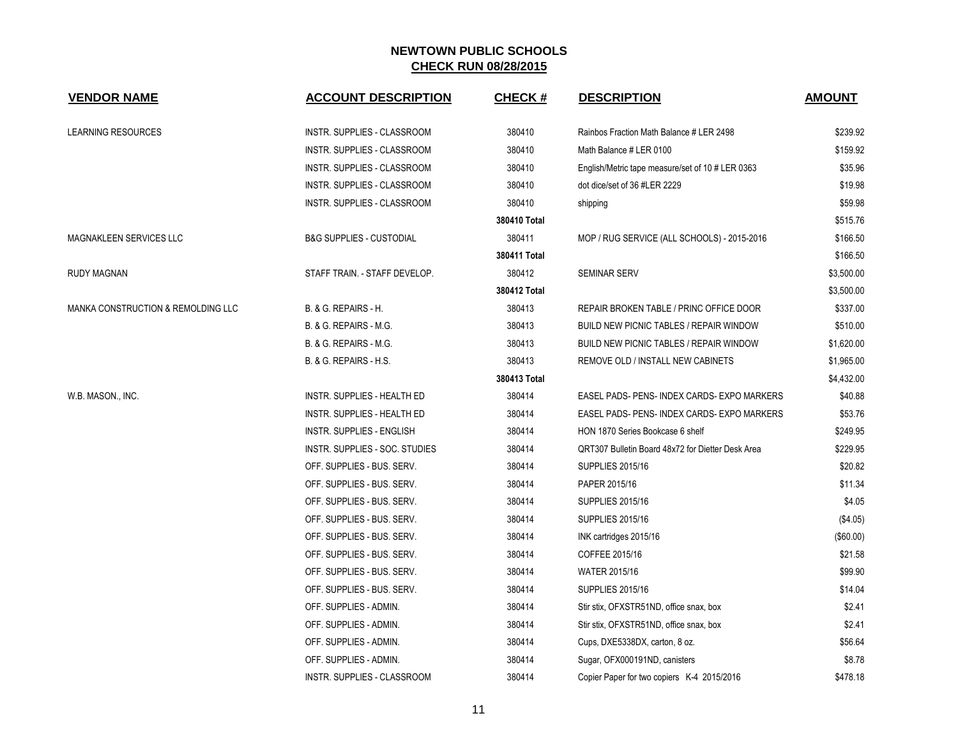| <b>VENDOR NAME</b>                 | <b>ACCOUNT DESCRIPTION</b>          | <b>CHECK#</b> | <b>DESCRIPTION</b>                                | <b>AMOUNT</b> |
|------------------------------------|-------------------------------------|---------------|---------------------------------------------------|---------------|
| <b>LEARNING RESOURCES</b>          | INSTR. SUPPLIES - CLASSROOM         | 380410        | Rainbos Fraction Math Balance # LER 2498          | \$239.92      |
|                                    | INSTR. SUPPLIES - CLASSROOM         | 380410        | Math Balance # LER 0100                           | \$159.92      |
|                                    | INSTR. SUPPLIES - CLASSROOM         | 380410        | English/Metric tape measure/set of 10 # LER 0363  | \$35.96       |
|                                    | INSTR. SUPPLIES - CLASSROOM         | 380410        | dot dice/set of 36 #LER 2229                      | \$19.98       |
|                                    | INSTR. SUPPLIES - CLASSROOM         | 380410        | shipping                                          | \$59.98       |
|                                    |                                     | 380410 Total  |                                                   | \$515.76      |
| MAGNAKLEEN SERVICES LLC            | <b>B&amp;G SUPPLIES - CUSTODIAL</b> | 380411        | MOP / RUG SERVICE (ALL SCHOOLS) - 2015-2016       | \$166.50      |
|                                    |                                     | 380411 Total  |                                                   | \$166.50      |
| RUDY MAGNAN                        | STAFF TRAIN. - STAFF DEVELOP.       | 380412        | <b>SEMINAR SERV</b>                               | \$3,500.00    |
|                                    |                                     | 380412 Total  |                                                   | \$3,500.00    |
| MANKA CONSTRUCTION & REMOLDING LLC | B. & G. REPAIRS - H.                | 380413        | REPAIR BROKEN TABLE / PRINC OFFICE DOOR           | \$337.00      |
|                                    | B. & G. REPAIRS - M.G.              | 380413        | BUILD NEW PICNIC TABLES / REPAIR WINDOW           | \$510.00      |
|                                    | B. & G. REPAIRS - M.G.              | 380413        | BUILD NEW PICNIC TABLES / REPAIR WINDOW           | \$1,620.00    |
|                                    | B. & G. REPAIRS - H.S.              | 380413        | REMOVE OLD / INSTALL NEW CABINETS                 | \$1,965.00    |
|                                    |                                     | 380413 Total  |                                                   | \$4,432.00    |
| W.B. MASON., INC.                  | INSTR. SUPPLIES - HEALTH ED         | 380414        | EASEL PADS- PENS- INDEX CARDS- EXPO MARKERS       | \$40.88       |
|                                    | INSTR. SUPPLIES - HEALTH ED         | 380414        | EASEL PADS- PENS- INDEX CARDS- EXPO MARKERS       | \$53.76       |
|                                    | <b>INSTR. SUPPLIES - ENGLISH</b>    | 380414        | HON 1870 Series Bookcase 6 shelf                  | \$249.95      |
|                                    | INSTR. SUPPLIES - SOC. STUDIES      | 380414        | QRT307 Bulletin Board 48x72 for Dietter Desk Area | \$229.95      |
|                                    | OFF. SUPPLIES - BUS. SERV.          | 380414        | <b>SUPPLIES 2015/16</b>                           | \$20.82       |
|                                    | OFF. SUPPLIES - BUS. SERV.          | 380414        | PAPER 2015/16                                     | \$11.34       |
|                                    | OFF. SUPPLIES - BUS. SERV.          | 380414        | <b>SUPPLIES 2015/16</b>                           | \$4.05        |
|                                    | OFF. SUPPLIES - BUS. SERV.          | 380414        | <b>SUPPLIES 2015/16</b>                           | (\$4.05)      |
|                                    | OFF. SUPPLIES - BUS. SERV.          | 380414        | INK cartridges 2015/16                            | (\$60.00)     |
|                                    | OFF. SUPPLIES - BUS. SERV.          | 380414        | COFFEE 2015/16                                    | \$21.58       |
|                                    | OFF. SUPPLIES - BUS. SERV.          | 380414        | <b>WATER 2015/16</b>                              | \$99.90       |
|                                    | OFF. SUPPLIES - BUS. SERV.          | 380414        | <b>SUPPLIES 2015/16</b>                           | \$14.04       |
|                                    | OFF. SUPPLIES - ADMIN.              | 380414        | Stir stix, OFXSTR51ND, office snax, box           | \$2.41        |
|                                    | OFF. SUPPLIES - ADMIN.              | 380414        | Stir stix, OFXSTR51ND, office snax, box           | \$2.41        |
|                                    | OFF. SUPPLIES - ADMIN.              | 380414        | Cups, DXE5338DX, carton, 8 oz.                    | \$56.64       |
|                                    | OFF. SUPPLIES - ADMIN.              | 380414        | Sugar, OFX000191ND, canisters                     | \$8.78        |
|                                    | INSTR. SUPPLIES - CLASSROOM         | 380414        | Copier Paper for two copiers K-4 2015/2016        | \$478.18      |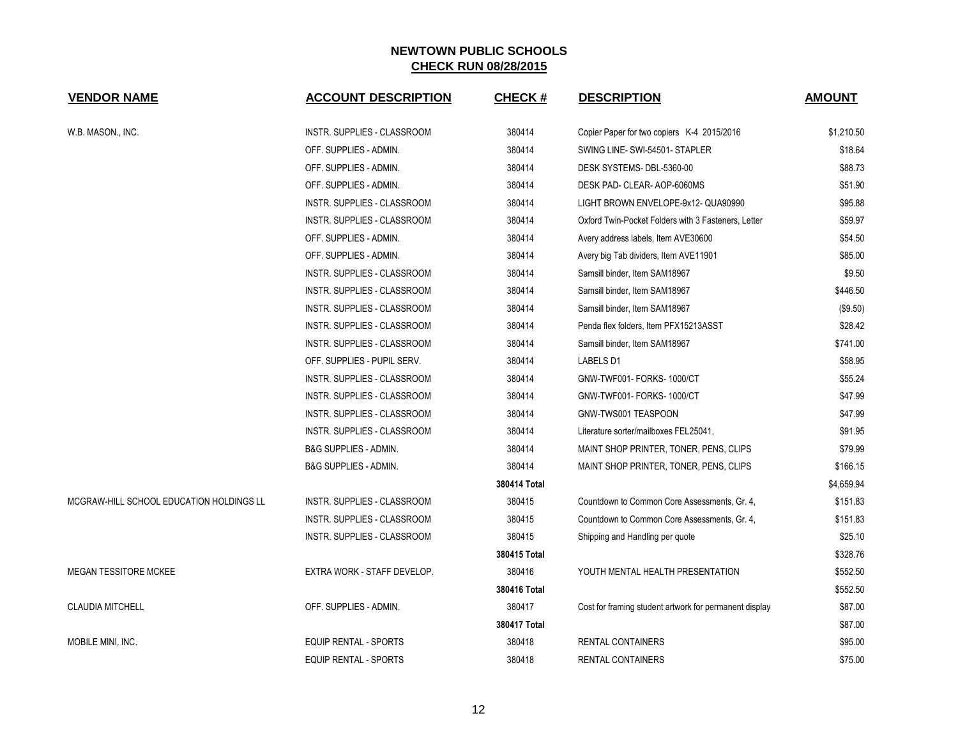| <b>VENDOR NAME</b>                       | <b>ACCOUNT DESCRIPTION</b>         | <b>CHECK#</b> | <b>DESCRIPTION</b>                                     | <b>AMOUNT</b> |
|------------------------------------------|------------------------------------|---------------|--------------------------------------------------------|---------------|
| W.B. MASON., INC.                        | INSTR. SUPPLIES - CLASSROOM        | 380414        | Copier Paper for two copiers K-4 2015/2016             | \$1,210.50    |
|                                          | OFF. SUPPLIES - ADMIN.             | 380414        | SWING LINE- SWI-54501- STAPLER                         | \$18.64       |
|                                          | OFF. SUPPLIES - ADMIN.             | 380414        | DESK SYSTEMS-DBL-5360-00                               | \$88.73       |
|                                          | OFF. SUPPLIES - ADMIN.             | 380414        | DESK PAD- CLEAR- AOP-6060MS                            | \$51.90       |
|                                          | INSTR. SUPPLIES - CLASSROOM        | 380414        | LIGHT BROWN ENVELOPE-9x12-QUA90990                     | \$95.88       |
|                                          | INSTR. SUPPLIES - CLASSROOM        | 380414        | Oxford Twin-Pocket Folders with 3 Fasteners, Letter    | \$59.97       |
|                                          | OFF. SUPPLIES - ADMIN.             | 380414        | Avery address labels, Item AVE30600                    | \$54.50       |
|                                          | OFF. SUPPLIES - ADMIN.             | 380414        | Avery big Tab dividers, Item AVE11901                  | \$85.00       |
|                                          | INSTR. SUPPLIES - CLASSROOM        | 380414        | Samsill binder, Item SAM18967                          | \$9.50        |
|                                          | INSTR. SUPPLIES - CLASSROOM        | 380414        | Samsill binder, Item SAM18967                          | \$446.50      |
|                                          | <b>INSTR. SUPPLIES - CLASSROOM</b> | 380414        | Samsill binder, Item SAM18967                          | (\$9.50)      |
|                                          | INSTR. SUPPLIES - CLASSROOM        | 380414        | Penda flex folders, Item PFX15213ASST                  | \$28.42       |
|                                          | <b>INSTR. SUPPLIES - CLASSROOM</b> | 380414        | Samsill binder, Item SAM18967                          | \$741.00      |
|                                          | OFF. SUPPLIES - PUPIL SERV.        | 380414        | LABELS D1                                              | \$58.95       |
|                                          | <b>INSTR. SUPPLIES - CLASSROOM</b> | 380414        | GNW-TWF001- FORKS- 1000/CT                             | \$55.24       |
|                                          | INSTR. SUPPLIES - CLASSROOM        | 380414        | GNW-TWF001- FORKS- 1000/CT                             | \$47.99       |
|                                          | INSTR. SUPPLIES - CLASSROOM        | 380414        | GNW-TWS001 TEASPOON                                    | \$47.99       |
|                                          | INSTR. SUPPLIES - CLASSROOM        | 380414        | Literature sorter/mailboxes FEL25041,                  | \$91.95       |
|                                          | B&G SUPPLIES - ADMIN.              | 380414        | MAINT SHOP PRINTER, TONER, PENS, CLIPS                 | \$79.99       |
|                                          | <b>B&amp;G SUPPLIES - ADMIN.</b>   | 380414        | MAINT SHOP PRINTER, TONER, PENS, CLIPS                 | \$166.15      |
|                                          |                                    | 380414 Total  |                                                        | \$4,659.94    |
| MCGRAW-HILL SCHOOL EDUCATION HOLDINGS LL | INSTR. SUPPLIES - CLASSROOM        | 380415        | Countdown to Common Core Assessments, Gr. 4,           | \$151.83      |
|                                          | INSTR. SUPPLIES - CLASSROOM        | 380415        | Countdown to Common Core Assessments, Gr. 4,           | \$151.83      |
|                                          | INSTR. SUPPLIES - CLASSROOM        | 380415        | Shipping and Handling per quote                        | \$25.10       |
|                                          |                                    | 380415 Total  |                                                        | \$328.76      |
| <b>MEGAN TESSITORE MCKEE</b>             | EXTRA WORK - STAFF DEVELOP.        | 380416        | YOUTH MENTAL HEALTH PRESENTATION                       | \$552.50      |
|                                          |                                    | 380416 Total  |                                                        | \$552.50      |
| <b>CLAUDIA MITCHELL</b>                  | OFF. SUPPLIES - ADMIN.             | 380417        | Cost for framing student artwork for permanent display | \$87.00       |
|                                          |                                    | 380417 Total  |                                                        | \$87.00       |
| MOBILE MINI, INC.                        | <b>EQUIP RENTAL - SPORTS</b>       | 380418        | <b>RENTAL CONTAINERS</b>                               | \$95.00       |
|                                          | EQUIP RENTAL - SPORTS              | 380418        | RENTAL CONTAINERS                                      | \$75.00       |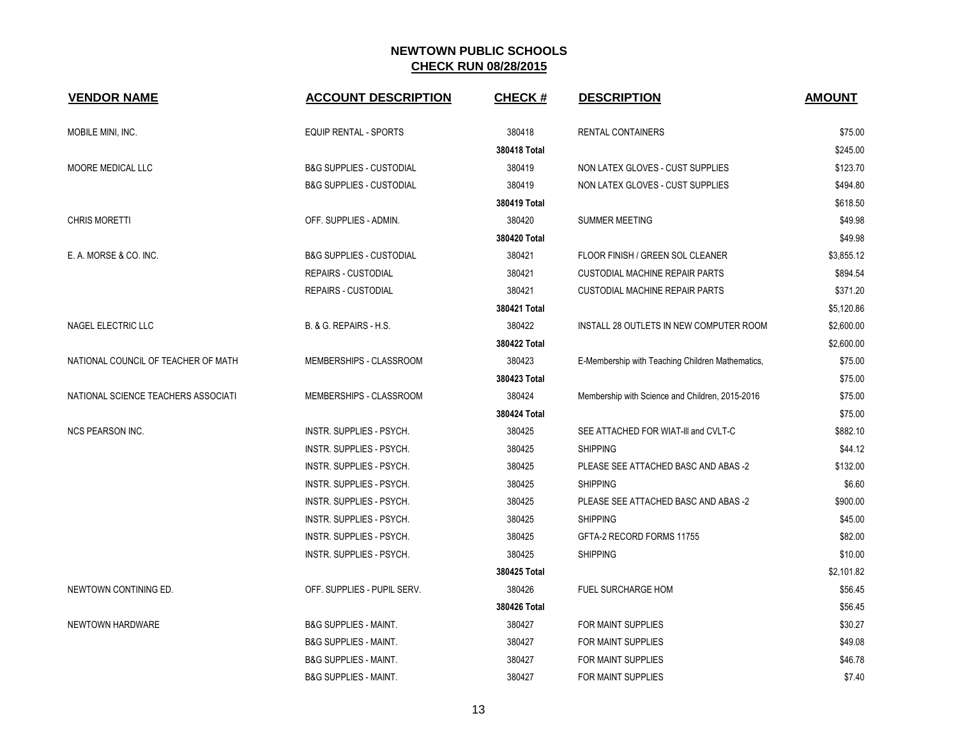| <b>VENDOR NAME</b>                  | <b>ACCOUNT DESCRIPTION</b>          | <b>CHECK#</b> | <b>DESCRIPTION</b>                               | <b>AMOUNT</b> |
|-------------------------------------|-------------------------------------|---------------|--------------------------------------------------|---------------|
| MOBILE MINI, INC.                   | <b>EQUIP RENTAL - SPORTS</b>        | 380418        | <b>RENTAL CONTAINERS</b>                         | \$75.00       |
|                                     |                                     | 380418 Total  |                                                  | \$245.00      |
| MOORE MEDICAL LLC                   | <b>B&amp;G SUPPLIES - CUSTODIAL</b> | 380419        | NON LATEX GLOVES - CUST SUPPLIES                 | \$123.70      |
|                                     | <b>B&amp;G SUPPLIES - CUSTODIAL</b> | 380419        | NON LATEX GLOVES - CUST SUPPLIES                 | \$494.80      |
|                                     |                                     | 380419 Total  |                                                  | \$618.50      |
| <b>CHRIS MORETTI</b>                | OFF. SUPPLIES - ADMIN.              | 380420        | <b>SUMMER MEETING</b>                            | \$49.98       |
|                                     |                                     | 380420 Total  |                                                  | \$49.98       |
| E. A. MORSE & CO. INC.              | <b>B&amp;G SUPPLIES - CUSTODIAL</b> | 380421        | FLOOR FINISH / GREEN SOL CLEANER                 | \$3,855.12    |
|                                     | <b>REPAIRS - CUSTODIAL</b>          | 380421        | <b>CUSTODIAL MACHINE REPAIR PARTS</b>            | \$894.54      |
|                                     | <b>REPAIRS - CUSTODIAL</b>          | 380421        | <b>CUSTODIAL MACHINE REPAIR PARTS</b>            | \$371.20      |
|                                     |                                     | 380421 Total  |                                                  | \$5,120.86    |
| NAGEL ELECTRIC LLC                  | B. & G. REPAIRS - H.S.              | 380422        | INSTALL 28 OUTLETS IN NEW COMPUTER ROOM          | \$2,600.00    |
|                                     |                                     | 380422 Total  |                                                  | \$2,600.00    |
| NATIONAL COUNCIL OF TEACHER OF MATH | MEMBERSHIPS - CLASSROOM             | 380423        | E-Membership with Teaching Children Mathematics, | \$75.00       |
|                                     |                                     | 380423 Total  |                                                  | \$75.00       |
| NATIONAL SCIENCE TEACHERS ASSOCIATI | MEMBERSHIPS - CLASSROOM             | 380424        | Membership with Science and Children, 2015-2016  | \$75.00       |
|                                     |                                     | 380424 Total  |                                                  | \$75.00       |
| <b>NCS PEARSON INC.</b>             | INSTR. SUPPLIES - PSYCH.            | 380425        | SEE ATTACHED FOR WIAT-III and CVLT-C             | \$882.10      |
|                                     | INSTR. SUPPLIES - PSYCH.            | 380425        | <b>SHIPPING</b>                                  | \$44.12       |
|                                     | INSTR. SUPPLIES - PSYCH.            | 380425        | PLEASE SEE ATTACHED BASC AND ABAS -2             | \$132.00      |
|                                     | INSTR. SUPPLIES - PSYCH.            | 380425        | <b>SHIPPING</b>                                  | \$6.60        |
|                                     | <b>INSTR. SUPPLIES - PSYCH.</b>     | 380425        | PLEASE SEE ATTACHED BASC AND ABAS -2             | \$900.00      |
|                                     | INSTR. SUPPLIES - PSYCH.            | 380425        | <b>SHIPPING</b>                                  | \$45.00       |
|                                     | <b>INSTR. SUPPLIES - PSYCH.</b>     | 380425        | GFTA-2 RECORD FORMS 11755                        | \$82.00       |
|                                     | INSTR. SUPPLIES - PSYCH.            | 380425        | <b>SHIPPING</b>                                  | \$10.00       |
|                                     |                                     | 380425 Total  |                                                  | \$2,101.82    |
| NEWTOWN CONTINING ED.               | OFF. SUPPLIES - PUPIL SERV.         | 380426        | <b>FUEL SURCHARGE HOM</b>                        | \$56.45       |
|                                     |                                     | 380426 Total  |                                                  | \$56.45       |
| NEWTOWN HARDWARE                    | <b>B&amp;G SUPPLIES - MAINT.</b>    | 380427        | <b>FOR MAINT SUPPLIES</b>                        | \$30.27       |
|                                     | <b>B&amp;G SUPPLIES - MAINT.</b>    | 380427        | FOR MAINT SUPPLIES                               | \$49.08       |
|                                     | <b>B&amp;G SUPPLIES - MAINT.</b>    | 380427        | <b>FOR MAINT SUPPLIES</b>                        | \$46.78       |
|                                     | <b>B&amp;G SUPPLIES - MAINT.</b>    | 380427        | FOR MAINT SUPPLIES                               | \$7.40        |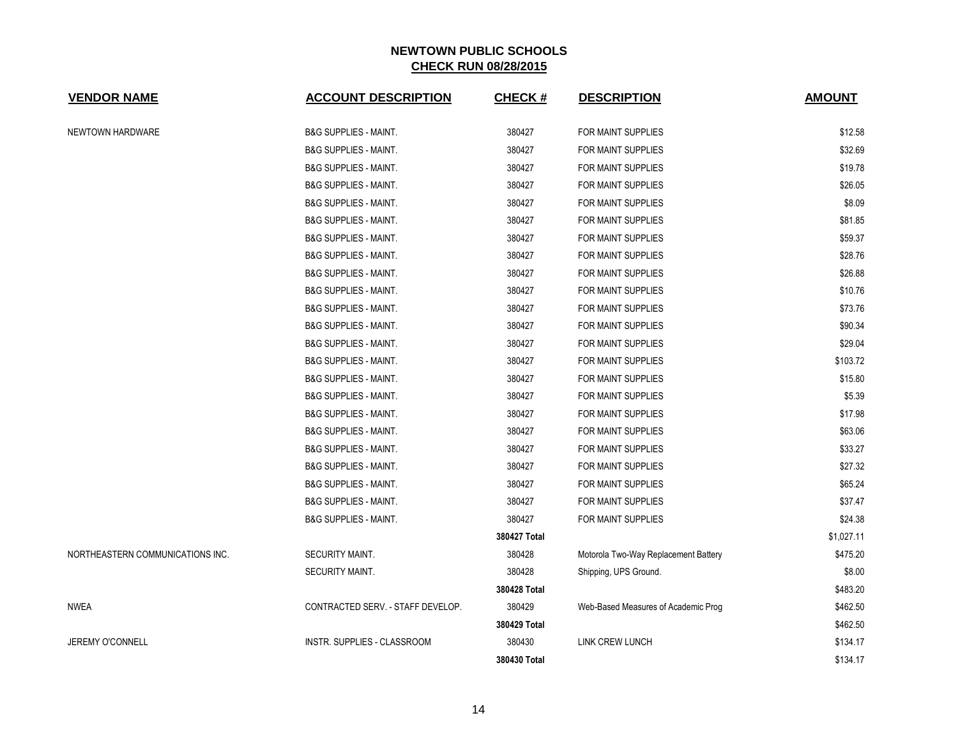| <b>VENDOR NAME</b>               | <b>ACCOUNT DESCRIPTION</b>         | <b>CHECK#</b> | <b>DESCRIPTION</b>                   | <b>AMOUNT</b> |
|----------------------------------|------------------------------------|---------------|--------------------------------------|---------------|
| NEWTOWN HARDWARE                 | <b>B&amp;G SUPPLIES - MAINT.</b>   | 380427        | FOR MAINT SUPPLIES                   | \$12.58       |
|                                  | <b>B&amp;G SUPPLIES - MAINT.</b>   | 380427        | FOR MAINT SUPPLIES                   | \$32.69       |
|                                  | <b>B&amp;G SUPPLIES - MAINT.</b>   | 380427        | FOR MAINT SUPPLIES                   | \$19.78       |
|                                  | <b>B&amp;G SUPPLIES - MAINT.</b>   | 380427        | FOR MAINT SUPPLIES                   | \$26.05       |
|                                  | <b>B&amp;G SUPPLIES - MAINT.</b>   | 380427        | FOR MAINT SUPPLIES                   | \$8.09        |
|                                  | <b>B&amp;G SUPPLIES - MAINT.</b>   | 380427        | FOR MAINT SUPPLIES                   | \$81.85       |
|                                  | <b>B&amp;G SUPPLIES - MAINT.</b>   | 380427        | FOR MAINT SUPPLIES                   | \$59.37       |
|                                  | <b>B&amp;G SUPPLIES - MAINT.</b>   | 380427        | FOR MAINT SUPPLIES                   | \$28.76       |
|                                  | <b>B&amp;G SUPPLIES - MAINT.</b>   | 380427        | FOR MAINT SUPPLIES                   | \$26.88       |
|                                  | <b>B&amp;G SUPPLIES - MAINT.</b>   | 380427        | FOR MAINT SUPPLIES                   | \$10.76       |
|                                  | <b>B&amp;G SUPPLIES - MAINT.</b>   | 380427        | FOR MAINT SUPPLIES                   | \$73.76       |
|                                  | <b>B&amp;G SUPPLIES - MAINT.</b>   | 380427        | FOR MAINT SUPPLIES                   | \$90.34       |
|                                  | <b>B&amp;G SUPPLIES - MAINT.</b>   | 380427        | FOR MAINT SUPPLIES                   | \$29.04       |
|                                  | <b>B&amp;G SUPPLIES - MAINT.</b>   | 380427        | FOR MAINT SUPPLIES                   | \$103.72      |
|                                  | <b>B&amp;G SUPPLIES - MAINT.</b>   | 380427        | FOR MAINT SUPPLIES                   | \$15.80       |
|                                  | <b>B&amp;G SUPPLIES - MAINT.</b>   | 380427        | FOR MAINT SUPPLIES                   | \$5.39        |
|                                  | <b>B&amp;G SUPPLIES - MAINT.</b>   | 380427        | FOR MAINT SUPPLIES                   | \$17.98       |
|                                  | <b>B&amp;G SUPPLIES - MAINT.</b>   | 380427        | FOR MAINT SUPPLIES                   | \$63.06       |
|                                  | <b>B&amp;G SUPPLIES - MAINT.</b>   | 380427        | FOR MAINT SUPPLIES                   | \$33.27       |
|                                  | <b>B&amp;G SUPPLIES - MAINT.</b>   | 380427        | FOR MAINT SUPPLIES                   | \$27.32       |
|                                  | <b>B&amp;G SUPPLIES - MAINT.</b>   | 380427        | FOR MAINT SUPPLIES                   | \$65.24       |
|                                  | <b>B&amp;G SUPPLIES - MAINT.</b>   | 380427        | FOR MAINT SUPPLIES                   | \$37.47       |
|                                  | <b>B&amp;G SUPPLIES - MAINT.</b>   | 380427        | FOR MAINT SUPPLIES                   | \$24.38       |
|                                  |                                    | 380427 Total  |                                      | \$1,027.11    |
| NORTHEASTERN COMMUNICATIONS INC. | SECURITY MAINT.                    | 380428        | Motorola Two-Way Replacement Battery | \$475.20      |
|                                  | <b>SECURITY MAINT.</b>             | 380428        | Shipping, UPS Ground.                | \$8.00        |
|                                  |                                    | 380428 Total  |                                      | \$483.20      |
| <b>NWEA</b>                      | CONTRACTED SERV. - STAFF DEVELOP.  | 380429        | Web-Based Measures of Academic Prog  | \$462.50      |
|                                  |                                    | 380429 Total  |                                      | \$462.50      |
| <b>JEREMY O'CONNELL</b>          | <b>INSTR. SUPPLIES - CLASSROOM</b> | 380430        | <b>LINK CREW LUNCH</b>               | \$134.17      |
|                                  |                                    | 380430 Total  |                                      | \$134.17      |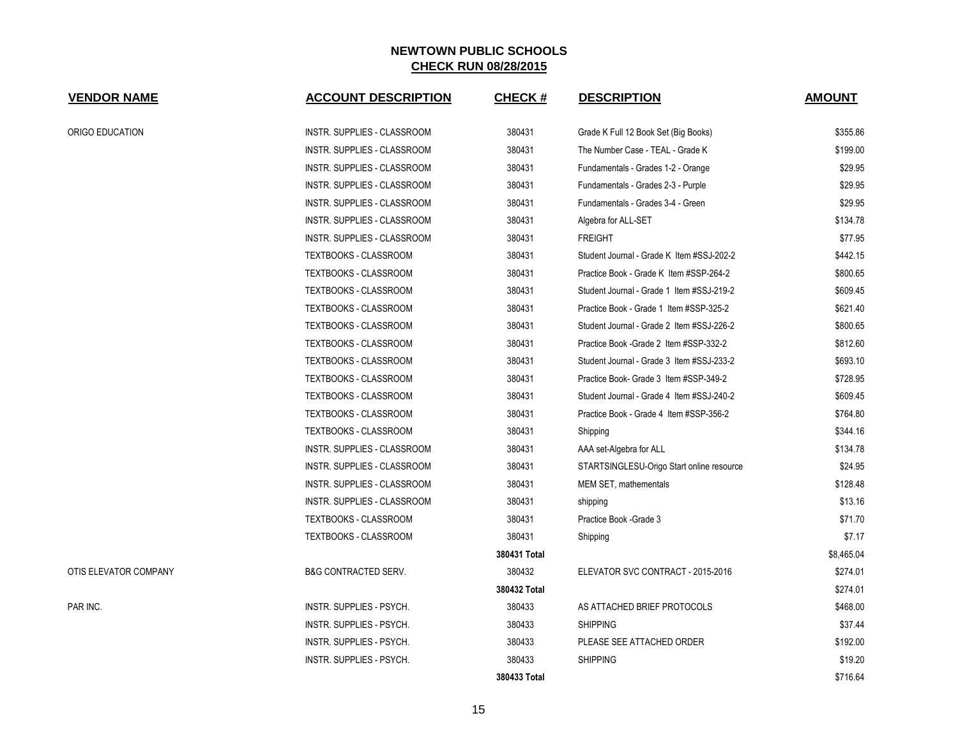| <b>VENDOR NAME</b>    | <b>ACCOUNT DESCRIPTION</b>      | <b>CHECK#</b> | <b>DESCRIPTION</b>                        | <b>AMOUNT</b> |
|-----------------------|---------------------------------|---------------|-------------------------------------------|---------------|
| ORIGO EDUCATION       | INSTR. SUPPLIES - CLASSROOM     | 380431        | Grade K Full 12 Book Set (Big Books)      | \$355.86      |
|                       | INSTR. SUPPLIES - CLASSROOM     | 380431        | The Number Case - TEAL - Grade K          | \$199.00      |
|                       | INSTR. SUPPLIES - CLASSROOM     | 380431        | Fundamentals - Grades 1-2 - Orange        | \$29.95       |
|                       | INSTR. SUPPLIES - CLASSROOM     | 380431        | Fundamentals - Grades 2-3 - Purple        | \$29.95       |
|                       | INSTR. SUPPLIES - CLASSROOM     | 380431        | Fundamentals - Grades 3-4 - Green         | \$29.95       |
|                       | INSTR. SUPPLIES - CLASSROOM     | 380431        | Algebra for ALL-SET                       | \$134.78      |
|                       | INSTR. SUPPLIES - CLASSROOM     | 380431        | <b>FREIGHT</b>                            | \$77.95       |
|                       | TEXTBOOKS - CLASSROOM           | 380431        | Student Journal - Grade K Item #SSJ-202-2 | \$442.15      |
|                       | <b>TEXTBOOKS - CLASSROOM</b>    | 380431        | Practice Book - Grade K Item #SSP-264-2   | \$800.65      |
|                       | <b>TEXTBOOKS - CLASSROOM</b>    | 380431        | Student Journal - Grade 1 Item #SSJ-219-2 | \$609.45      |
|                       | <b>TEXTBOOKS - CLASSROOM</b>    | 380431        | Practice Book - Grade 1 Item #SSP-325-2   | \$621.40      |
|                       | TEXTBOOKS - CLASSROOM           | 380431        | Student Journal - Grade 2 Item #SSJ-226-2 | \$800.65      |
|                       | TEXTBOOKS - CLASSROOM           | 380431        | Practice Book - Grade 2 Item #SSP-332-2   | \$812.60      |
|                       | TEXTBOOKS - CLASSROOM           | 380431        | Student Journal - Grade 3 Item #SSJ-233-2 | \$693.10      |
|                       | TEXTBOOKS - CLASSROOM           | 380431        | Practice Book- Grade 3 Item #SSP-349-2    | \$728.95      |
|                       | TEXTBOOKS - CLASSROOM           | 380431        | Student Journal - Grade 4 Item #SSJ-240-2 | \$609.45      |
|                       | TEXTBOOKS - CLASSROOM           | 380431        | Practice Book - Grade 4 Item #SSP-356-2   | \$764.80      |
|                       | TEXTBOOKS - CLASSROOM           | 380431        | Shipping                                  | \$344.16      |
|                       | INSTR. SUPPLIES - CLASSROOM     | 380431        | AAA set-Algebra for ALL                   | \$134.78      |
|                       | INSTR. SUPPLIES - CLASSROOM     | 380431        | STARTSINGLESU-Origo Start online resource | \$24.95       |
|                       | INSTR. SUPPLIES - CLASSROOM     | 380431        | MEM SET, mathementals                     | \$128.48      |
|                       | INSTR. SUPPLIES - CLASSROOM     | 380431        | shipping                                  | \$13.16       |
|                       | TEXTBOOKS - CLASSROOM           | 380431        | Practice Book - Grade 3                   | \$71.70       |
|                       | <b>TEXTBOOKS - CLASSROOM</b>    | 380431        | Shipping                                  | \$7.17        |
|                       |                                 | 380431 Total  |                                           | \$8,465.04    |
| OTIS ELEVATOR COMPANY | <b>B&amp;G CONTRACTED SERV.</b> | 380432        | ELEVATOR SVC CONTRACT - 2015-2016         | \$274.01      |
|                       |                                 | 380432 Total  |                                           | \$274.01      |
| PAR INC.              | INSTR. SUPPLIES - PSYCH.        | 380433        | AS ATTACHED BRIEF PROTOCOLS               | \$468.00      |
|                       | INSTR. SUPPLIES - PSYCH.        | 380433        | <b>SHIPPING</b>                           | \$37.44       |
|                       | INSTR. SUPPLIES - PSYCH.        | 380433        | PLEASE SEE ATTACHED ORDER                 | \$192.00      |
|                       | <b>INSTR. SUPPLIES - PSYCH.</b> | 380433        | <b>SHIPPING</b>                           | \$19.20       |
|                       |                                 | 380433 Total  |                                           | \$716.64      |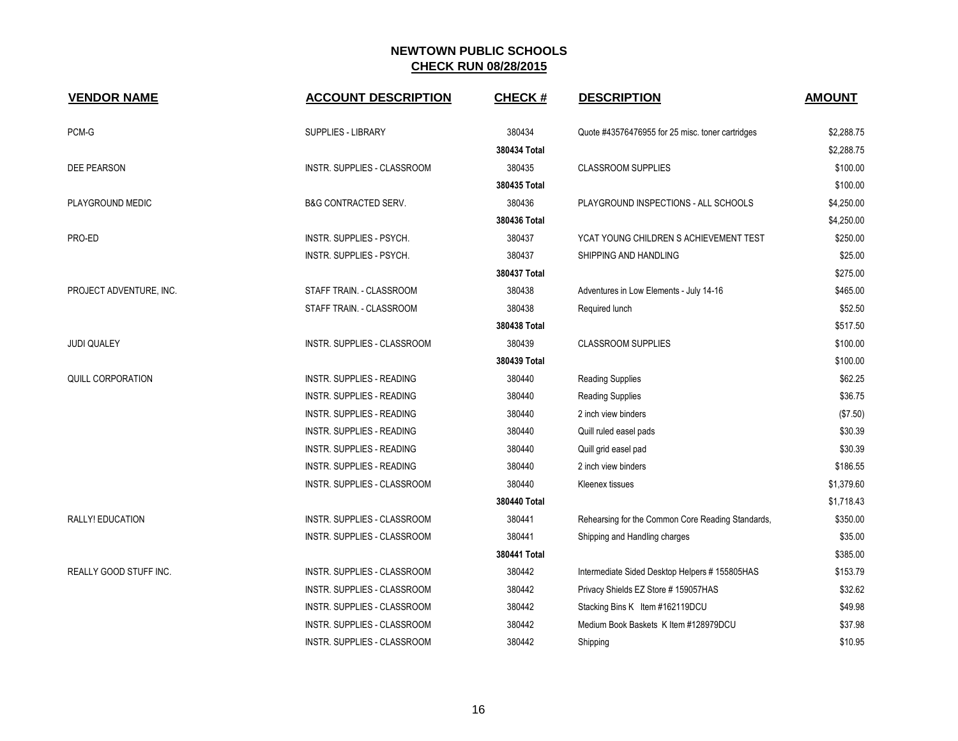| <b>VENDOR NAME</b>      | <b>ACCOUNT DESCRIPTION</b>         | <b>CHECK#</b> | <b>DESCRIPTION</b>                                | <b>AMOUNT</b> |
|-------------------------|------------------------------------|---------------|---------------------------------------------------|---------------|
| PCM-G                   | <b>SUPPLIES - LIBRARY</b>          | 380434        | Quote #43576476955 for 25 misc. toner cartridges  | \$2,288.75    |
|                         |                                    | 380434 Total  |                                                   | \$2,288.75    |
| <b>DEE PEARSON</b>      | INSTR. SUPPLIES - CLASSROOM        | 380435        | <b>CLASSROOM SUPPLIES</b>                         | \$100.00      |
|                         |                                    | 380435 Total  |                                                   | \$100.00      |
| PLAYGROUND MEDIC        | <b>B&amp;G CONTRACTED SERV.</b>    | 380436        | PLAYGROUND INSPECTIONS - ALL SCHOOLS              | \$4,250.00    |
|                         |                                    | 380436 Total  |                                                   | \$4,250.00    |
| PRO-ED                  | INSTR. SUPPLIES - PSYCH.           | 380437        | YCAT YOUNG CHILDREN S ACHIEVEMENT TEST            | \$250.00      |
|                         | INSTR. SUPPLIES - PSYCH.           | 380437        | SHIPPING AND HANDLING                             | \$25.00       |
|                         |                                    | 380437 Total  |                                                   | \$275.00      |
| PROJECT ADVENTURE, INC. | STAFF TRAIN. - CLASSROOM           | 380438        | Adventures in Low Elements - July 14-16           | \$465.00      |
|                         | STAFF TRAIN. - CLASSROOM           | 380438        | Required lunch                                    | \$52.50       |
|                         |                                    | 380438 Total  |                                                   | \$517.50      |
| <b>JUDI QUALEY</b>      | INSTR. SUPPLIES - CLASSROOM        | 380439        | <b>CLASSROOM SUPPLIES</b>                         | \$100.00      |
|                         |                                    | 380439 Total  |                                                   | \$100.00      |
| QUILL CORPORATION       | INSTR. SUPPLIES - READING          | 380440        | <b>Reading Supplies</b>                           | \$62.25       |
|                         | <b>INSTR. SUPPLIES - READING</b>   | 380440        | <b>Reading Supplies</b>                           | \$36.75       |
|                         | <b>INSTR. SUPPLIES - READING</b>   | 380440        | 2 inch view binders                               | (\$7.50)      |
|                         | <b>INSTR. SUPPLIES - READING</b>   | 380440        | Quill ruled easel pads                            | \$30.39       |
|                         | <b>INSTR. SUPPLIES - READING</b>   | 380440        | Quill grid easel pad                              | \$30.39       |
|                         | <b>INSTR. SUPPLIES - READING</b>   | 380440        | 2 inch view binders                               | \$186.55      |
|                         | INSTR. SUPPLIES - CLASSROOM        | 380440        | Kleenex tissues                                   | \$1,379.60    |
|                         |                                    | 380440 Total  |                                                   | \$1,718.43    |
| RALLY! EDUCATION        | <b>INSTR. SUPPLIES - CLASSROOM</b> | 380441        | Rehearsing for the Common Core Reading Standards, | \$350.00      |
|                         | INSTR. SUPPLIES - CLASSROOM        | 380441        | Shipping and Handling charges                     | \$35.00       |
|                         |                                    | 380441 Total  |                                                   | \$385.00      |
| REALLY GOOD STUFF INC.  | INSTR. SUPPLIES - CLASSROOM        | 380442        | Intermediate Sided Desktop Helpers # 155805HAS    | \$153.79      |
|                         | <b>INSTR. SUPPLIES - CLASSROOM</b> | 380442        | Privacy Shields EZ Store #159057HAS               | \$32.62       |
|                         | INSTR. SUPPLIES - CLASSROOM        | 380442        | Stacking Bins K Item #162119DCU                   | \$49.98       |
|                         | INSTR. SUPPLIES - CLASSROOM        | 380442        | Medium Book Baskets K Item #128979DCU             | \$37.98       |
|                         | INSTR. SUPPLIES - CLASSROOM        | 380442        | Shipping                                          | \$10.95       |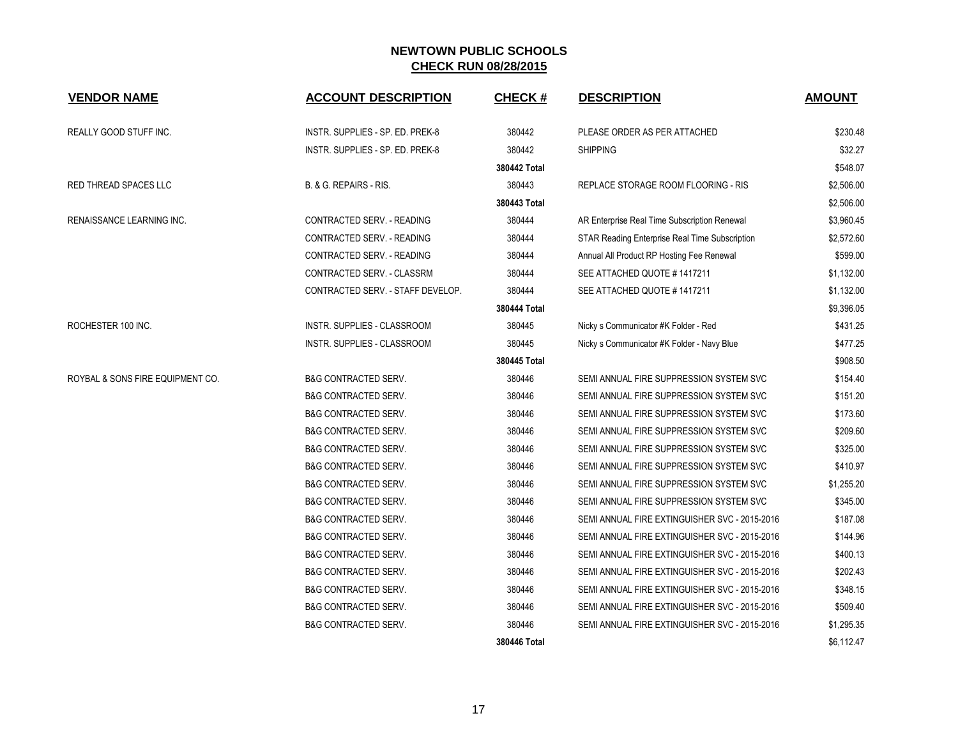| <b>VENDOR NAME</b>               | <b>ACCOUNT DESCRIPTION</b>        | <b>CHECK#</b> | <b>DESCRIPTION</b>                             | <b>AMOUNT</b> |
|----------------------------------|-----------------------------------|---------------|------------------------------------------------|---------------|
| REALLY GOOD STUFF INC.           | INSTR. SUPPLIES - SP. ED. PREK-8  | 380442        | PLEASE ORDER AS PER ATTACHED                   | \$230.48      |
|                                  | INSTR. SUPPLIES - SP. ED. PREK-8  | 380442        | <b>SHIPPING</b>                                | \$32.27       |
|                                  |                                   | 380442 Total  |                                                | \$548.07      |
| RED THREAD SPACES LLC            | B. & G. REPAIRS - RIS.            | 380443        | REPLACE STORAGE ROOM FLOORING - RIS            | \$2,506.00    |
|                                  |                                   | 380443 Total  |                                                | \$2,506.00    |
| RENAISSANCE LEARNING INC.        | CONTRACTED SERV. - READING        | 380444        | AR Enterprise Real Time Subscription Renewal   | \$3,960.45    |
|                                  | CONTRACTED SERV. - READING        | 380444        | STAR Reading Enterprise Real Time Subscription | \$2,572.60    |
|                                  | CONTRACTED SERV. - READING        | 380444        | Annual All Product RP Hosting Fee Renewal      | \$599.00      |
|                                  | CONTRACTED SERV. - CLASSRM        | 380444        | SEE ATTACHED QUOTE #1417211                    | \$1,132.00    |
|                                  | CONTRACTED SERV. - STAFF DEVELOP. | 380444        | SEE ATTACHED QUOTE #1417211                    | \$1,132.00    |
|                                  |                                   | 380444 Total  |                                                | \$9,396.05    |
| ROCHESTER 100 INC.               | INSTR. SUPPLIES - CLASSROOM       | 380445        | Nicky s Communicator #K Folder - Red           | \$431.25      |
|                                  | INSTR. SUPPLIES - CLASSROOM       | 380445        | Nicky s Communicator #K Folder - Navy Blue     | \$477.25      |
|                                  |                                   | 380445 Total  |                                                | \$908.50      |
| ROYBAL & SONS FIRE EQUIPMENT CO. | <b>B&amp;G CONTRACTED SERV.</b>   | 380446        | SEMI ANNUAL FIRE SUPPRESSION SYSTEM SVC        | \$154.40      |
|                                  | <b>B&amp;G CONTRACTED SERV.</b>   | 380446        | SEMI ANNUAL FIRE SUPPRESSION SYSTEM SVC        | \$151.20      |
|                                  | <b>B&amp;G CONTRACTED SERV.</b>   | 380446        | SEMI ANNUAL FIRE SUPPRESSION SYSTEM SVC        | \$173.60      |
|                                  | <b>B&amp;G CONTRACTED SERV.</b>   | 380446        | SEMI ANNUAL FIRE SUPPRESSION SYSTEM SVC        | \$209.60      |
|                                  | <b>B&amp;G CONTRACTED SERV.</b>   | 380446        | SEMI ANNUAL FIRE SUPPRESSION SYSTEM SVC        | \$325.00      |
|                                  | <b>B&amp;G CONTRACTED SERV.</b>   | 380446        | SEMI ANNUAL FIRE SUPPRESSION SYSTEM SVC        | \$410.97      |
|                                  | <b>B&amp;G CONTRACTED SERV.</b>   | 380446        | SEMI ANNUAL FIRE SUPPRESSION SYSTEM SVC        | \$1,255.20    |
|                                  | <b>B&amp;G CONTRACTED SERV.</b>   | 380446        | SEMI ANNUAL FIRE SUPPRESSION SYSTEM SVC        | \$345.00      |
|                                  | <b>B&amp;G CONTRACTED SERV.</b>   | 380446        | SEMI ANNUAL FIRE EXTINGUISHER SVC - 2015-2016  | \$187.08      |
|                                  | <b>B&amp;G CONTRACTED SERV.</b>   | 380446        | SEMI ANNUAL FIRE EXTINGUISHER SVC - 2015-2016  | \$144.96      |
|                                  | <b>B&amp;G CONTRACTED SERV.</b>   | 380446        | SEMI ANNUAL FIRE EXTINGUISHER SVC - 2015-2016  | \$400.13      |
|                                  | <b>B&amp;G CONTRACTED SERV.</b>   | 380446        | SEMI ANNUAL FIRE EXTINGUISHER SVC - 2015-2016  | \$202.43      |
|                                  | <b>B&amp;G CONTRACTED SERV.</b>   | 380446        | SEMI ANNUAL FIRE EXTINGUISHER SVC - 2015-2016  | \$348.15      |
|                                  | <b>B&amp;G CONTRACTED SERV.</b>   | 380446        | SEMI ANNUAL FIRE EXTINGUISHER SVC - 2015-2016  | \$509.40      |
|                                  | <b>B&amp;G CONTRACTED SERV.</b>   | 380446        | SEMI ANNUAL FIRE EXTINGUISHER SVC - 2015-2016  | \$1,295.35    |
|                                  |                                   | 380446 Total  |                                                | \$6,112.47    |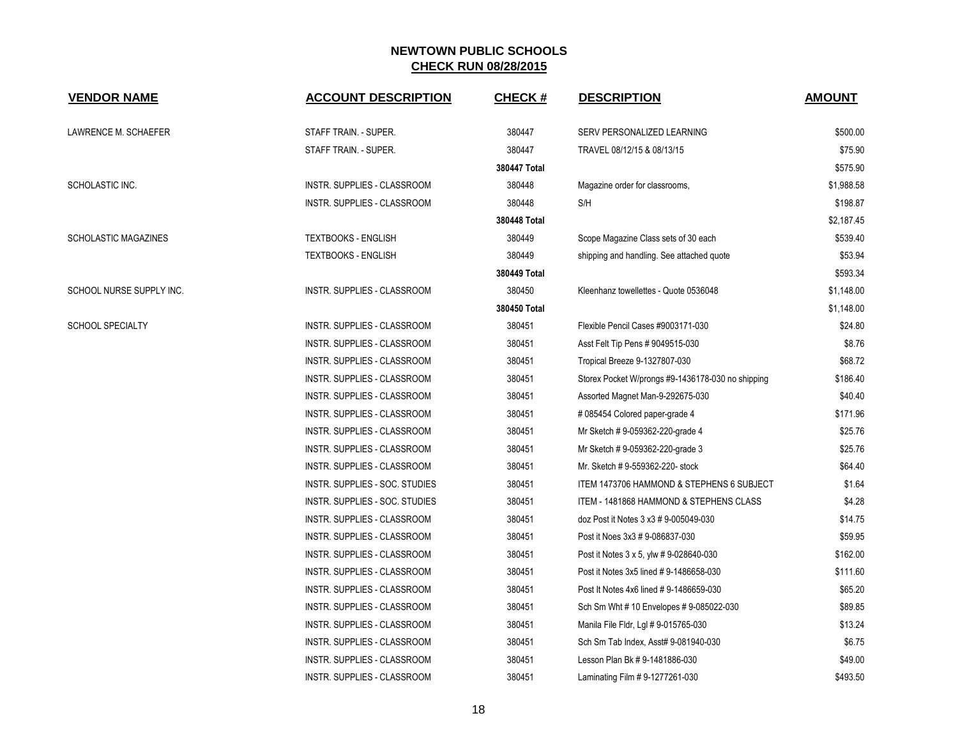| <b>VENDOR NAME</b>          | <b>ACCOUNT DESCRIPTION</b>         | <b>CHECK#</b> | <b>DESCRIPTION</b>                                | <b>AMOUNT</b> |
|-----------------------------|------------------------------------|---------------|---------------------------------------------------|---------------|
| LAWRENCE M. SCHAEFER        | STAFF TRAIN. - SUPER.              | 380447        | SERV PERSONALIZED LEARNING                        | \$500.00      |
|                             | STAFF TRAIN. - SUPER.              | 380447        | TRAVEL 08/12/15 & 08/13/15                        | \$75.90       |
|                             |                                    | 380447 Total  |                                                   | \$575.90      |
| SCHOLASTIC INC.             | INSTR. SUPPLIES - CLASSROOM        | 380448        | Magazine order for classrooms,                    | \$1,988.58    |
|                             | INSTR. SUPPLIES - CLASSROOM        | 380448        | S/H                                               | \$198.87      |
|                             |                                    | 380448 Total  |                                                   | \$2,187.45    |
| <b>SCHOLASTIC MAGAZINES</b> | <b>TEXTBOOKS - ENGLISH</b>         | 380449        | Scope Magazine Class sets of 30 each              | \$539.40      |
|                             | <b>TEXTBOOKS - ENGLISH</b>         | 380449        | shipping and handling. See attached quote         | \$53.94       |
|                             |                                    | 380449 Total  |                                                   | \$593.34      |
| SCHOOL NURSE SUPPLY INC.    | INSTR. SUPPLIES - CLASSROOM        | 380450        | Kleenhanz towellettes - Quote 0536048             | \$1,148.00    |
|                             |                                    | 380450 Total  |                                                   | \$1,148.00    |
| <b>SCHOOL SPECIALTY</b>     | <b>INSTR. SUPPLIES - CLASSROOM</b> | 380451        | Flexible Pencil Cases #9003171-030                | \$24.80       |
|                             | INSTR. SUPPLIES - CLASSROOM        | 380451        | Asst Felt Tip Pens # 9049515-030                  | \$8.76        |
|                             | INSTR. SUPPLIES - CLASSROOM        | 380451        | Tropical Breeze 9-1327807-030                     | \$68.72       |
|                             | INSTR. SUPPLIES - CLASSROOM        | 380451        | Storex Pocket W/prongs #9-1436178-030 no shipping | \$186.40      |
|                             | INSTR. SUPPLIES - CLASSROOM        | 380451        | Assorted Magnet Man-9-292675-030                  | \$40.40       |
|                             | INSTR. SUPPLIES - CLASSROOM        | 380451        | #085454 Colored paper-grade 4                     | \$171.96      |
|                             | INSTR. SUPPLIES - CLASSROOM        | 380451        | Mr Sketch # 9-059362-220-grade 4                  | \$25.76       |
|                             | INSTR. SUPPLIES - CLASSROOM        | 380451        | Mr Sketch # 9-059362-220-grade 3                  | \$25.76       |
|                             | INSTR. SUPPLIES - CLASSROOM        | 380451        | Mr. Sketch # 9-559362-220- stock                  | \$64.40       |
|                             | INSTR. SUPPLIES - SOC. STUDIES     | 380451        | ITEM 1473706 HAMMOND & STEPHENS 6 SUBJECT         | \$1.64        |
|                             | INSTR. SUPPLIES - SOC. STUDIES     | 380451        | ITEM - 1481868 HAMMOND & STEPHENS CLASS           | \$4.28        |
|                             | INSTR. SUPPLIES - CLASSROOM        | 380451        | doz Post it Notes 3 x3 # 9-005049-030             | \$14.75       |
|                             | INSTR. SUPPLIES - CLASSROOM        | 380451        | Post it Noes 3x3 # 9-086837-030                   | \$59.95       |
|                             | INSTR. SUPPLIES - CLASSROOM        | 380451        | Post it Notes 3 x 5, ylw # 9-028640-030           | \$162.00      |
|                             | INSTR. SUPPLIES - CLASSROOM        | 380451        | Post it Notes 3x5 lined #9-1486658-030            | \$111.60      |
|                             | INSTR. SUPPLIES - CLASSROOM        | 380451        | Post It Notes 4x6 lined #9-1486659-030            | \$65.20       |
|                             | INSTR. SUPPLIES - CLASSROOM        | 380451        | Sch Sm Wht # 10 Envelopes # 9-085022-030          | \$89.85       |
|                             | INSTR. SUPPLIES - CLASSROOM        | 380451        | Manila File Fldr, Lgl # 9-015765-030              | \$13.24       |
|                             | INSTR. SUPPLIES - CLASSROOM        | 380451        | Sch Sm Tab Index, Asst# 9-081940-030              | \$6.75        |
|                             | INSTR. SUPPLIES - CLASSROOM        | 380451        | Lesson Plan Bk # 9-1481886-030                    | \$49.00       |
|                             | INSTR. SUPPLIES - CLASSROOM        | 380451        | Laminating Film # 9-1277261-030                   | \$493.50      |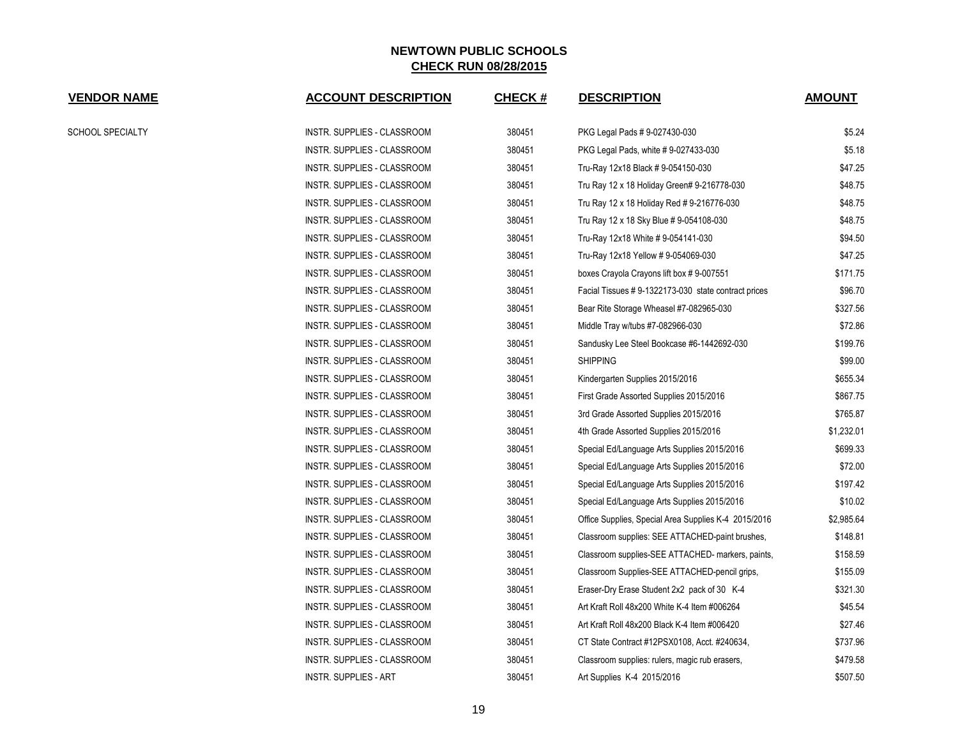| <b>VENDOR NAME</b> | <b>ACCOUNT DESCRIPTION</b>   | <b>CHECK#</b> | <b>DESCRIPTION</b>                                   | <b>AMOUNT</b> |
|--------------------|------------------------------|---------------|------------------------------------------------------|---------------|
| SCHOOL SPECIALTY   | INSTR. SUPPLIES - CLASSROOM  | 380451        | PKG Legal Pads # 9-027430-030                        | \$5.24        |
|                    | INSTR. SUPPLIES - CLASSROOM  | 380451        | PKG Legal Pads, white #9-027433-030                  | \$5.18        |
|                    | INSTR. SUPPLIES - CLASSROOM  | 380451        | Tru-Ray 12x18 Black #9-054150-030                    | \$47.25       |
|                    | INSTR. SUPPLIES - CLASSROOM  | 380451        | Tru Ray 12 x 18 Holiday Green# 9-216778-030          | \$48.75       |
|                    | INSTR. SUPPLIES - CLASSROOM  | 380451        | Tru Ray 12 x 18 Holiday Red # 9-216776-030           | \$48.75       |
|                    | INSTR. SUPPLIES - CLASSROOM  | 380451        | Tru Ray 12 x 18 Sky Blue # 9-054108-030              | \$48.75       |
|                    | INSTR. SUPPLIES - CLASSROOM  | 380451        | Tru-Ray 12x18 White #9-054141-030                    | \$94.50       |
|                    | INSTR. SUPPLIES - CLASSROOM  | 380451        | Tru-Ray 12x18 Yellow #9-054069-030                   | \$47.25       |
|                    | INSTR. SUPPLIES - CLASSROOM  | 380451        | boxes Crayola Crayons lift box #9-007551             | \$171.75      |
|                    | INSTR. SUPPLIES - CLASSROOM  | 380451        | Facial Tissues # 9-1322173-030 state contract prices | \$96.70       |
|                    | INSTR. SUPPLIES - CLASSROOM  | 380451        | Bear Rite Storage Wheasel #7-082965-030              | \$327.56      |
|                    | INSTR. SUPPLIES - CLASSROOM  | 380451        | Middle Tray w/tubs #7-082966-030                     | \$72.86       |
|                    | INSTR. SUPPLIES - CLASSROOM  | 380451        | Sandusky Lee Steel Bookcase #6-1442692-030           | \$199.76      |
|                    | INSTR. SUPPLIES - CLASSROOM  | 380451        | <b>SHIPPING</b>                                      | \$99.00       |
|                    | INSTR. SUPPLIES - CLASSROOM  | 380451        | Kindergarten Supplies 2015/2016                      | \$655.34      |
|                    | INSTR. SUPPLIES - CLASSROOM  | 380451        | First Grade Assorted Supplies 2015/2016              | \$867.75      |
|                    | INSTR. SUPPLIES - CLASSROOM  | 380451        | 3rd Grade Assorted Supplies 2015/2016                | \$765.87      |
|                    | INSTR. SUPPLIES - CLASSROOM  | 380451        | 4th Grade Assorted Supplies 2015/2016                | \$1,232.01    |
|                    | INSTR. SUPPLIES - CLASSROOM  | 380451        | Special Ed/Language Arts Supplies 2015/2016          | \$699.33      |
|                    | INSTR. SUPPLIES - CLASSROOM  | 380451        | Special Ed/Language Arts Supplies 2015/2016          | \$72.00       |
|                    | INSTR. SUPPLIES - CLASSROOM  | 380451        | Special Ed/Language Arts Supplies 2015/2016          | \$197.42      |
|                    | INSTR. SUPPLIES - CLASSROOM  | 380451        | Special Ed/Language Arts Supplies 2015/2016          | \$10.02       |
|                    | INSTR. SUPPLIES - CLASSROOM  | 380451        | Office Supplies, Special Area Supplies K-4 2015/2016 | \$2,985.64    |
|                    | INSTR. SUPPLIES - CLASSROOM  | 380451        | Classroom supplies: SEE ATTACHED-paint brushes,      | \$148.81      |
|                    | INSTR. SUPPLIES - CLASSROOM  | 380451        | Classroom supplies-SEE ATTACHED- markers, paints,    | \$158.59      |
|                    | INSTR. SUPPLIES - CLASSROOM  | 380451        | Classroom Supplies-SEE ATTACHED-pencil grips,        | \$155.09      |
|                    | INSTR. SUPPLIES - CLASSROOM  | 380451        | Eraser-Dry Erase Student 2x2 pack of 30 K-4          | \$321.30      |
|                    | INSTR. SUPPLIES - CLASSROOM  | 380451        | Art Kraft Roll 48x200 White K-4 Item #006264         | \$45.54       |
|                    | INSTR. SUPPLIES - CLASSROOM  | 380451        | Art Kraft Roll 48x200 Black K-4 Item #006420         | \$27.46       |
|                    | INSTR. SUPPLIES - CLASSROOM  | 380451        | CT State Contract #12PSX0108, Acct. #240634,         | \$737.96      |
|                    | INSTR. SUPPLIES - CLASSROOM  | 380451        | Classroom supplies: rulers, magic rub erasers,       | \$479.58      |
|                    | <b>INSTR. SUPPLIES - ART</b> | 380451        | Art Supplies K-4 2015/2016                           | \$507.50      |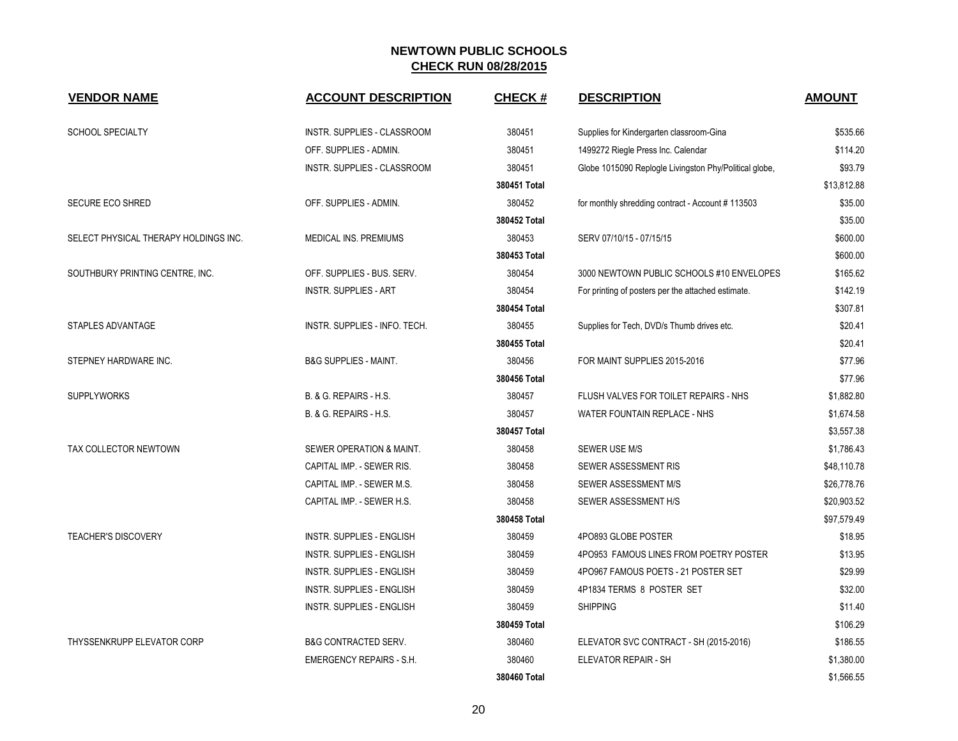| <b>VENDOR NAME</b>                    | <b>ACCOUNT DESCRIPTION</b>       | <b>CHECK#</b> | <b>DESCRIPTION</b>                                     | <b>AMOUNT</b> |
|---------------------------------------|----------------------------------|---------------|--------------------------------------------------------|---------------|
| <b>SCHOOL SPECIALTY</b>               | INSTR. SUPPLIES - CLASSROOM      | 380451        | Supplies for Kindergarten classroom-Gina               | \$535.66      |
|                                       | OFF. SUPPLIES - ADMIN.           | 380451        | 1499272 Riegle Press Inc. Calendar                     | \$114.20      |
|                                       | INSTR. SUPPLIES - CLASSROOM      | 380451        | Globe 1015090 Replogle Livingston Phy/Political globe, | \$93.79       |
|                                       |                                  | 380451 Total  |                                                        | \$13,812.88   |
| <b>SECURE ECO SHRED</b>               | OFF. SUPPLIES - ADMIN.           | 380452        | for monthly shredding contract - Account #113503       | \$35.00       |
|                                       |                                  | 380452 Total  |                                                        | \$35.00       |
| SELECT PHYSICAL THERAPY HOLDINGS INC. | MEDICAL INS. PREMIUMS            | 380453        | SERV 07/10/15 - 07/15/15                               | \$600.00      |
|                                       |                                  | 380453 Total  |                                                        | \$600.00      |
| SOUTHBURY PRINTING CENTRE, INC.       | OFF. SUPPLIES - BUS. SERV.       | 380454        | 3000 NEWTOWN PUBLIC SCHOOLS #10 ENVELOPES              | \$165.62      |
|                                       | <b>INSTR. SUPPLIES - ART</b>     | 380454        | For printing of posters per the attached estimate.     | \$142.19      |
|                                       |                                  | 380454 Total  |                                                        | \$307.81      |
| <b>STAPLES ADVANTAGE</b>              | INSTR. SUPPLIES - INFO. TECH.    | 380455        | Supplies for Tech, DVD/s Thumb drives etc.             | \$20.41       |
|                                       |                                  | 380455 Total  |                                                        | \$20.41       |
| STEPNEY HARDWARE INC.                 | <b>B&amp;G SUPPLIES - MAINT.</b> | 380456        | FOR MAINT SUPPLIES 2015-2016                           | \$77.96       |
|                                       |                                  | 380456 Total  |                                                        | \$77.96       |
| <b>SUPPLYWORKS</b>                    | B. & G. REPAIRS - H.S.           | 380457        | FLUSH VALVES FOR TOILET REPAIRS - NHS                  | \$1,882.80    |
|                                       | B. & G. REPAIRS - H.S.           | 380457        | WATER FOUNTAIN REPLACE - NHS                           | \$1,674.58    |
|                                       |                                  | 380457 Total  |                                                        | \$3,557.38    |
| TAX COLLECTOR NEWTOWN                 | SEWER OPERATION & MAINT.         | 380458        | <b>SEWER USE M/S</b>                                   | \$1,786.43    |
|                                       | CAPITAL IMP. - SEWER RIS.        | 380458        | SEWER ASSESSMENT RIS                                   | \$48,110.78   |
|                                       | CAPITAL IMP. - SEWER M.S.        | 380458        | SEWER ASSESSMENT M/S                                   | \$26,778.76   |
|                                       | CAPITAL IMP. - SEWER H.S.        | 380458        | SEWER ASSESSMENT H/S                                   | \$20,903.52   |
|                                       |                                  | 380458 Total  |                                                        | \$97,579.49   |
| <b>TEACHER'S DISCOVERY</b>            | <b>INSTR. SUPPLIES - ENGLISH</b> | 380459        | 4PO893 GLOBE POSTER                                    | \$18.95       |
|                                       | <b>INSTR. SUPPLIES - ENGLISH</b> | 380459        | 4PO953 FAMOUS LINES FROM POETRY POSTER                 | \$13.95       |
|                                       | INSTR. SUPPLIES - ENGLISH        | 380459        | 4PO967 FAMOUS POETS - 21 POSTER SET                    | \$29.99       |
|                                       | <b>INSTR. SUPPLIES - ENGLISH</b> | 380459        | 4P1834 TERMS 8 POSTER SET                              | \$32.00       |
|                                       | INSTR. SUPPLIES - ENGLISH        | 380459        | <b>SHIPPING</b>                                        | \$11.40       |
|                                       |                                  | 380459 Total  |                                                        | \$106.29      |
| THYSSENKRUPP ELEVATOR CORP            | <b>B&amp;G CONTRACTED SERV.</b>  | 380460        | ELEVATOR SVC CONTRACT - SH (2015-2016)                 | \$186.55      |
|                                       | <b>EMERGENCY REPAIRS - S.H.</b>  | 380460        | ELEVATOR REPAIR - SH                                   | \$1,380.00    |
|                                       |                                  | 380460 Total  |                                                        | \$1,566.55    |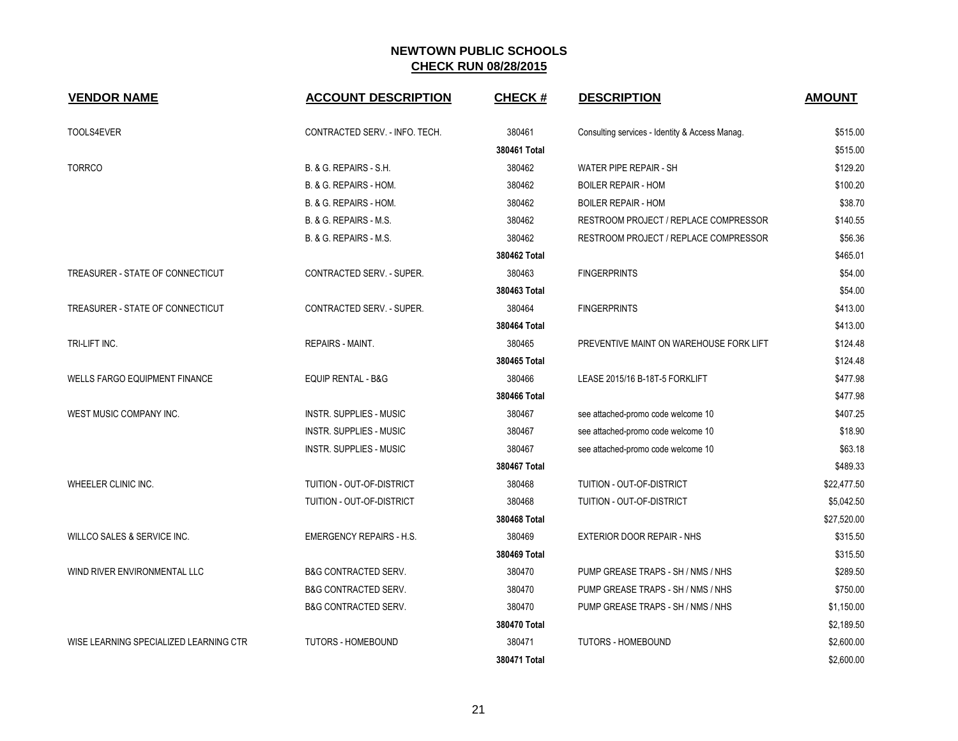| <b>VENDOR NAME</b>                     | <b>ACCOUNT DESCRIPTION</b>      | <b>CHECK#</b> | <b>DESCRIPTION</b>                             | <b>AMOUNT</b> |
|----------------------------------------|---------------------------------|---------------|------------------------------------------------|---------------|
| TOOLS4EVER                             | CONTRACTED SERV. - INFO. TECH.  | 380461        | Consulting services - Identity & Access Manag. | \$515.00      |
|                                        |                                 | 380461 Total  |                                                | \$515.00      |
| <b>TORRCO</b>                          | B. & G. REPAIRS - S.H.          | 380462        | WATER PIPE REPAIR - SH                         | \$129.20      |
|                                        | B. & G. REPAIRS - HOM.          | 380462        | <b>BOILER REPAIR - HOM</b>                     | \$100.20      |
|                                        | B. & G. REPAIRS - HOM.          | 380462        | <b>BOILER REPAIR - HOM</b>                     | \$38.70       |
|                                        | B. & G. REPAIRS - M.S.          | 380462        | RESTROOM PROJECT / REPLACE COMPRESSOR          | \$140.55      |
|                                        | B. & G. REPAIRS - M.S.          | 380462        | RESTROOM PROJECT / REPLACE COMPRESSOR          | \$56.36       |
|                                        |                                 | 380462 Total  |                                                | \$465.01      |
| TREASURER - STATE OF CONNECTICUT       | CONTRACTED SERV. - SUPER.       | 380463        | <b>FINGERPRINTS</b>                            | \$54.00       |
|                                        |                                 | 380463 Total  |                                                | \$54.00       |
| TREASURER - STATE OF CONNECTICUT       | CONTRACTED SERV. - SUPER.       | 380464        | <b>FINGERPRINTS</b>                            | \$413.00      |
|                                        |                                 | 380464 Total  |                                                | \$413.00      |
| TRI-LIFT INC.                          | REPAIRS - MAINT.                | 380465        | PREVENTIVE MAINT ON WAREHOUSE FORK LIFT        | \$124.48      |
|                                        |                                 | 380465 Total  |                                                | \$124.48      |
| <b>WELLS FARGO EQUIPMENT FINANCE</b>   | <b>EQUIP RENTAL - B&amp;G</b>   | 380466        | LEASE 2015/16 B-18T-5 FORKLIFT                 | \$477.98      |
|                                        |                                 | 380466 Total  |                                                | \$477.98      |
| WEST MUSIC COMPANY INC.                | INSTR. SUPPLIES - MUSIC         | 380467        | see attached-promo code welcome 10             | \$407.25      |
|                                        | <b>INSTR. SUPPLIES - MUSIC</b>  | 380467        | see attached-promo code welcome 10             | \$18.90       |
|                                        | INSTR. SUPPLIES - MUSIC         | 380467        | see attached-promo code welcome 10             | \$63.18       |
|                                        |                                 | 380467 Total  |                                                | \$489.33      |
| WHEELER CLINIC INC.                    | TUITION - OUT-OF-DISTRICT       | 380468        | TUITION - OUT-OF-DISTRICT                      | \$22,477.50   |
|                                        | TUITION - OUT-OF-DISTRICT       | 380468        | TUITION - OUT-OF-DISTRICT                      | \$5,042.50    |
|                                        |                                 | 380468 Total  |                                                | \$27,520.00   |
| WILLCO SALES & SERVICE INC.            | <b>EMERGENCY REPAIRS - H.S.</b> | 380469        | <b>EXTERIOR DOOR REPAIR - NHS</b>              | \$315.50      |
|                                        |                                 | 380469 Total  |                                                | \$315.50      |
| WIND RIVER ENVIRONMENTAL LLC           | <b>B&amp;G CONTRACTED SERV.</b> | 380470        | PUMP GREASE TRAPS - SH / NMS / NHS             | \$289.50      |
|                                        | <b>B&amp;G CONTRACTED SERV.</b> | 380470        | PUMP GREASE TRAPS - SH / NMS / NHS             | \$750.00      |
|                                        | <b>B&amp;G CONTRACTED SERV.</b> | 380470        | PUMP GREASE TRAPS - SH / NMS / NHS             | \$1,150.00    |
|                                        |                                 | 380470 Total  |                                                | \$2,189.50    |
| WISE LEARNING SPECIALIZED LEARNING CTR | <b>TUTORS - HOMEBOUND</b>       | 380471        | <b>TUTORS - HOMEBOUND</b>                      | \$2,600.00    |
|                                        |                                 | 380471 Total  |                                                | \$2,600.00    |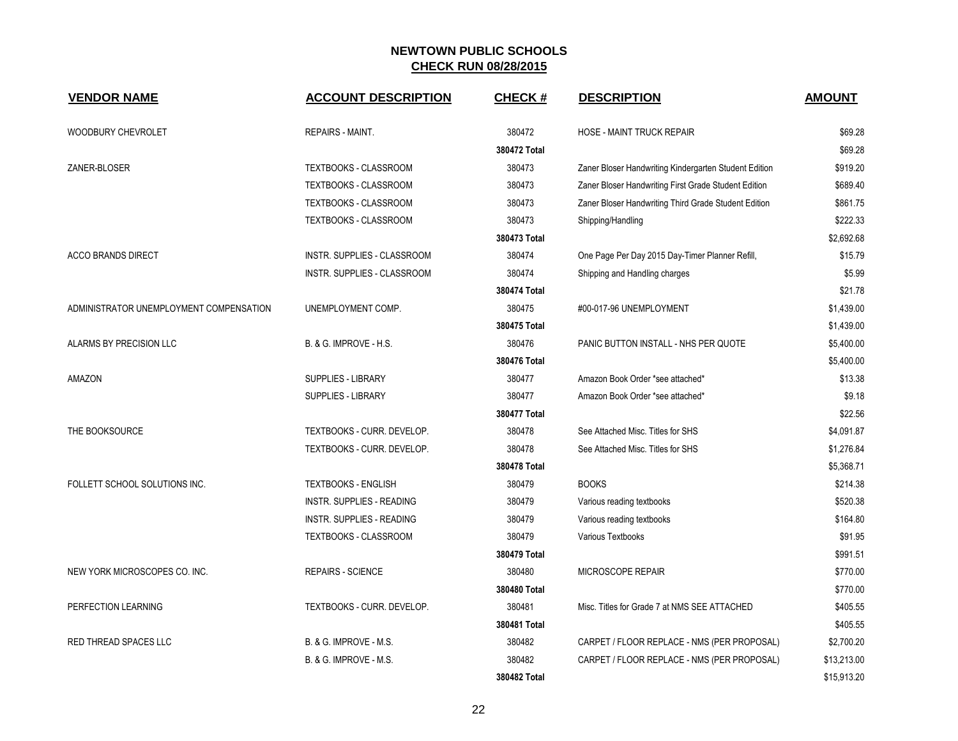| <b>VENDOR NAME</b>                      | <b>ACCOUNT DESCRIPTION</b>        | <b>CHECK#</b> | <b>DESCRIPTION</b>                                    | <b>AMOUNT</b> |
|-----------------------------------------|-----------------------------------|---------------|-------------------------------------------------------|---------------|
| WOODBURY CHEVROLET                      | <b>REPAIRS - MAINT.</b>           | 380472        | <b>HOSE - MAINT TRUCK REPAIR</b>                      | \$69.28       |
|                                         |                                   | 380472 Total  |                                                       | \$69.28       |
| ZANER-BLOSER                            | TEXTBOOKS - CLASSROOM             | 380473        | Zaner Bloser Handwriting Kindergarten Student Edition | \$919.20      |
|                                         | TEXTBOOKS - CLASSROOM             | 380473        | Zaner Bloser Handwriting First Grade Student Edition  | \$689.40      |
|                                         | <b>TEXTBOOKS - CLASSROOM</b>      | 380473        | Zaner Bloser Handwriting Third Grade Student Edition  | \$861.75      |
|                                         | TEXTBOOKS - CLASSROOM             | 380473        | Shipping/Handling                                     | \$222.33      |
|                                         |                                   | 380473 Total  |                                                       | \$2,692.68    |
| <b>ACCO BRANDS DIRECT</b>               | INSTR. SUPPLIES - CLASSROOM       | 380474        | One Page Per Day 2015 Day-Timer Planner Refill,       | \$15.79       |
|                                         | INSTR. SUPPLIES - CLASSROOM       | 380474        | Shipping and Handling charges                         | \$5.99        |
|                                         |                                   | 380474 Total  |                                                       | \$21.78       |
| ADMINISTRATOR UNEMPLOYMENT COMPENSATION | UNEMPLOYMENT COMP.                | 380475        | #00-017-96 UNEMPLOYMENT                               | \$1,439.00    |
|                                         |                                   | 380475 Total  |                                                       | \$1,439.00    |
| ALARMS BY PRECISION LLC                 | <b>B. &amp; G. IMPROVE - H.S.</b> | 380476        | PANIC BUTTON INSTALL - NHS PER QUOTE                  | \$5,400.00    |
|                                         |                                   | 380476 Total  |                                                       | \$5,400.00    |
| AMAZON                                  | <b>SUPPLIES - LIBRARY</b>         | 380477        | Amazon Book Order *see attached*                      | \$13.38       |
|                                         | SUPPLIES - LIBRARY                | 380477        | Amazon Book Order *see attached*                      | \$9.18        |
|                                         |                                   | 380477 Total  |                                                       | \$22.56       |
| THE BOOKSOURCE                          | TEXTBOOKS - CURR. DEVELOP.        | 380478        | See Attached Misc. Titles for SHS                     | \$4,091.87    |
|                                         | TEXTBOOKS - CURR. DEVELOP.        | 380478        | See Attached Misc. Titles for SHS                     | \$1,276.84    |
|                                         |                                   | 380478 Total  |                                                       | \$5,368.71    |
| FOLLETT SCHOOL SOLUTIONS INC.           | <b>TEXTBOOKS - ENGLISH</b>        | 380479        | <b>BOOKS</b>                                          | \$214.38      |
|                                         | <b>INSTR. SUPPLIES - READING</b>  | 380479        | Various reading textbooks                             | \$520.38      |
|                                         | <b>INSTR. SUPPLIES - READING</b>  | 380479        | Various reading textbooks                             | \$164.80      |
|                                         | TEXTBOOKS - CLASSROOM             | 380479        | Various Textbooks                                     | \$91.95       |
|                                         |                                   | 380479 Total  |                                                       | \$991.51      |
| NEW YORK MICROSCOPES CO. INC.           | <b>REPAIRS - SCIENCE</b>          | 380480        | MICROSCOPE REPAIR                                     | \$770.00      |
|                                         |                                   | 380480 Total  |                                                       | \$770.00      |
| PERFECTION LEARNING                     | TEXTBOOKS - CURR. DEVELOP.        | 380481        | Misc. Titles for Grade 7 at NMS SEE ATTACHED          | \$405.55      |
|                                         |                                   | 380481 Total  |                                                       | \$405.55      |
| RED THREAD SPACES LLC                   | B. & G. IMPROVE - M.S.            | 380482        | CARPET / FLOOR REPLACE - NMS (PER PROPOSAL)           | \$2,700.20    |
|                                         | <b>B. &amp; G. IMPROVE - M.S.</b> | 380482        | CARPET / FLOOR REPLACE - NMS (PER PROPOSAL)           | \$13,213.00   |
|                                         |                                   | 380482 Total  |                                                       | \$15,913.20   |